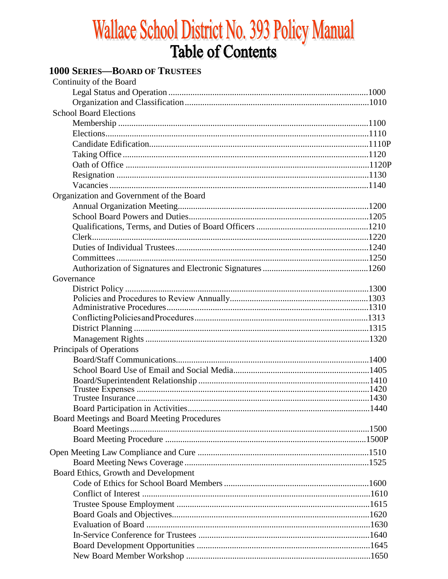# **Wallace School District No. 393 Policy Manual<br>Table of Contents**

# **1000 SERIES-BOARD OF TRUSTEES**

| Continuity of the Board                     |  |
|---------------------------------------------|--|
|                                             |  |
|                                             |  |
| <b>School Board Elections</b>               |  |
|                                             |  |
|                                             |  |
|                                             |  |
|                                             |  |
|                                             |  |
|                                             |  |
|                                             |  |
| Organization and Government of the Board    |  |
|                                             |  |
|                                             |  |
|                                             |  |
|                                             |  |
|                                             |  |
|                                             |  |
|                                             |  |
| Governance                                  |  |
|                                             |  |
|                                             |  |
|                                             |  |
|                                             |  |
|                                             |  |
|                                             |  |
| Principals of Operations                    |  |
|                                             |  |
|                                             |  |
|                                             |  |
|                                             |  |
|                                             |  |
|                                             |  |
| Board Meetings and Board Meeting Procedures |  |
|                                             |  |
|                                             |  |
|                                             |  |
|                                             |  |
| Board Ethics, Growth and Development        |  |
|                                             |  |
|                                             |  |
|                                             |  |
|                                             |  |
|                                             |  |
|                                             |  |
|                                             |  |
|                                             |  |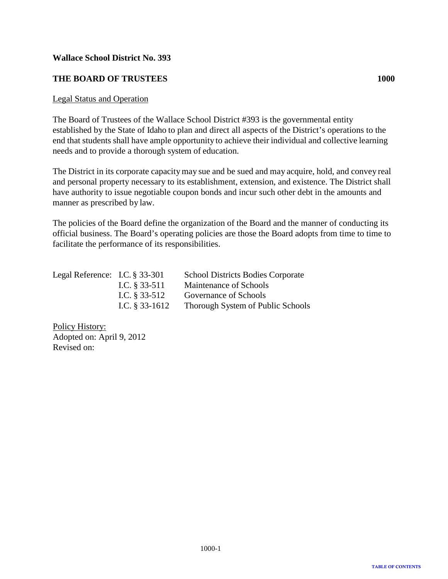# <span id="page-1-0"></span>**THE BOARD OF TRUSTEES 1000**

### Legal Status and Operation

The Board of Trustees of the Wallace School District #393 is the governmental entity established by the State of Idaho to plan and direct all aspects of the District's operations to the end that students shall have ample opportunity to achieve their individual and collective learning needs and to provide a thorough system of education.

The District in its corporate capacitymay sue and be sued and may acquire, hold, and convey real and personal property necessary to its establishment, extension, and existence. The District shall have authority to issue negotiable coupon bonds and incur such other debt in the amounts and manner as prescribed by law.

The policies of the Board define the organization of the Board and the manner of conducting its official business. The Board's operating policies are those the Board adopts from time to time to facilitate the performance of its responsibilities.

| Legal Reference: I.C. $\S$ 33-301 |                  | <b>School Districts Bodies Corporate</b> |
|-----------------------------------|------------------|------------------------------------------|
|                                   | I.C. $§$ 33-511  | Maintenance of Schools                   |
|                                   | I.C. $§$ 33-512  | Governance of Schools                    |
|                                   | I.C. $§$ 33-1612 | Thorough System of Public Schools        |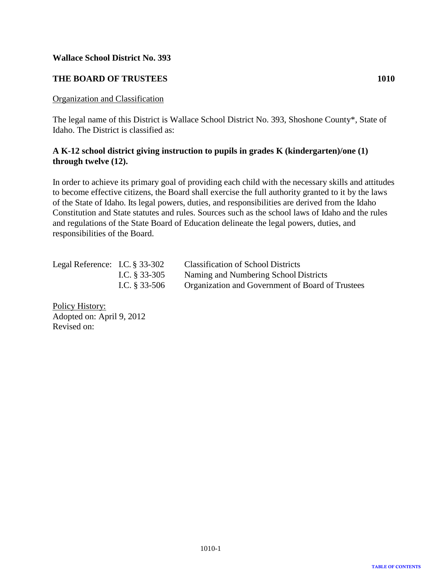# <span id="page-2-0"></span>**THE BOARD OF TRUSTEES 1010**

### Organization and Classification

The legal name of this District is Wallace School District No. 393, Shoshone County\*, State of Idaho. The District is classified as:

# **A K-12 school district giving instruction to pupils in grades K (kindergarten)/one (1) through twelve (12).**

In order to achieve its primary goal of providing each child with the necessary skills and attitudes to become effective citizens, the Board shall exercise the full authority granted to it by the laws of the State of Idaho. Its legal powers, duties, and responsibilities are derived from the Idaho Constitution and State statutes and rules. Sources such as the school laws of Idaho and the rules and regulations of the State Board of Education delineate the legal powers, duties, and responsibilities of the Board.

| Legal Reference: I.C. $\S$ 33-302 |                 | <b>Classification of School Districts</b>        |
|-----------------------------------|-----------------|--------------------------------------------------|
|                                   | I.C. $§$ 33-305 | Naming and Numbering School Districts            |
|                                   | I.C. $§$ 33-506 | Organization and Government of Board of Trustees |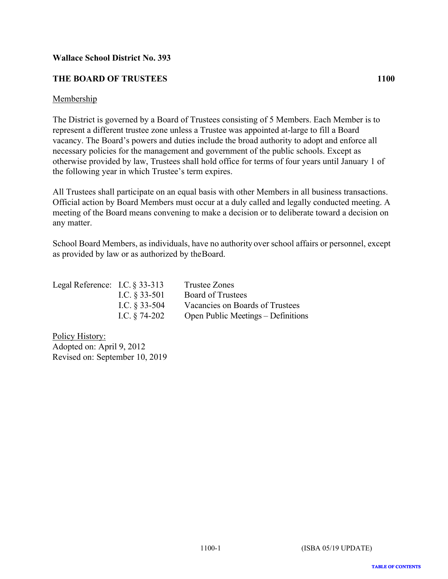# <span id="page-3-0"></span>**THE BOARD OF TRUSTEES** 1100

### Membership

The District is governed by a Board of Trustees consisting of 5 Members. Each Member is to represent a different trustee zone unless a Trustee was appointed at-large to fill a Board vacancy. The Board's powers and duties include the broad authority to adopt and enforce all necessary policies for the management and government of the public schools. Except as otherwise provided by law, Trustees shall hold office for terms of four years until January 1 of the following year in which Trustee's term expires.

All Trustees shall participate on an equal basis with other Members in all business transactions. Official action by Board Members must occur at a duly called and legally conducted meeting. A meeting of the Board means convening to make a decision or to deliberate toward a decision on any matter.

School Board Members, as individuals, have no authority over school affairs or personnel, except as provided by law or as authorized by the Board.

| Legal Reference: I.C. $\S 33-313$ |                 | Trustee Zones                      |
|-----------------------------------|-----------------|------------------------------------|
|                                   | I.C. $§$ 33-501 | <b>Board of Trustees</b>           |
|                                   | I.C. $§$ 33-504 | Vacancies on Boards of Trustees    |
|                                   | I.C. $§$ 74-202 | Open Public Meetings – Definitions |

Policy History: Adopted on: April 9, 2012 Revised on: September 10, 2019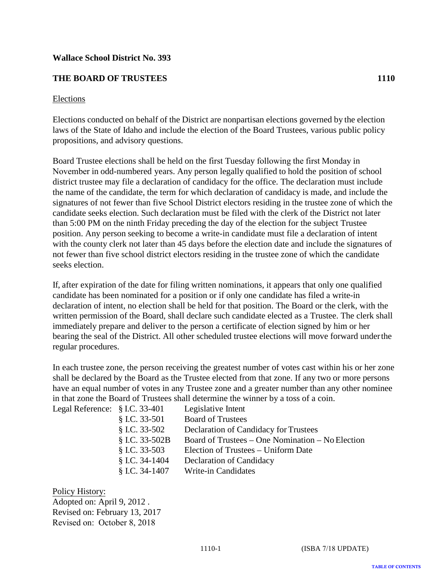# <span id="page-4-0"></span>**THE BOARD OF TRUSTEES 1110**

### Elections

Elections conducted on behalf of the District are nonpartisan elections governed by the election laws of the State of Idaho and include the election of the Board Trustees, various public policy propositions, and advisory questions.

Board Trustee elections shall be held on the first Tuesday following the first Monday in November in odd-numbered years. Any person legally qualified to hold the position of school district trustee may file a declaration of candidacy for the office. The declaration must include the name of the candidate, the term for which declaration of candidacy is made, and include the signatures of not fewer than five School District electors residing in the trustee zone of which the candidate seeks election. Such declaration must be filed with the clerk of the District not later than 5:00 PM on the ninth Friday preceding the day of the election for the subject Trustee position. Any person seeking to become a write-in candidate must file a declaration of intent with the county clerk not later than 45 days before the election date and include the signatures of not fewer than five school district electors residing in the trustee zone of which the candidate seeks election.

If, after expiration of the date for filing written nominations, it appears that only one qualified candidate has been nominated for a position or if only one candidate has filed a write-in declaration of intent, no election shall be held for that position. The Board or the clerk, with the written permission of the Board, shall declare such candidate elected as a Trustee. The clerk shall immediately prepare and deliver to the person a certificate of election signed by him or her bearing the seal of the District. All other scheduled trustee elections will move forward under the regular procedures.

In each trustee zone, the person receiving the greatest number of votes cast within his or her zone shall be declared by the Board as the Trustee elected from that zone. If any two or more persons have an equal number of votes in any Trustee zone and a greater number than any other nominee in that zone the Board of Trustees shall determine the winner by a toss of a coin.

| Legal Reference: § I.C. 33-401 | Legislative Intent                               |
|--------------------------------|--------------------------------------------------|
| $$ I.C. 33-501$                | <b>Board of Trustees</b>                         |
| $$ I.C. 33-502$                | Declaration of Candidacy for Trustees            |
| § I.C. 33-502B                 | Board of Trustees – One Nomination – No Election |
| $$ I.C. 33-503$                | Election of Trustees – Uniform Date              |
| $$ I.C. 34-1404$               | Declaration of Candidacy                         |
| $$ I.C. 34-1407$               | Write-in Candidates                              |
|                                |                                                  |

Policy History: Adopted on: April 9, 2012 . Revised on: February 13, 2017 Revised on: October 8, 2018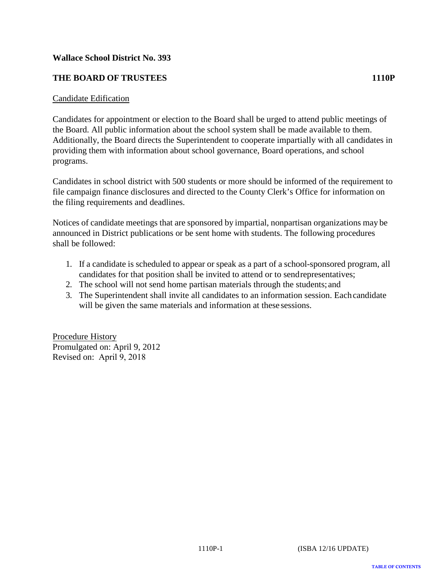# <span id="page-5-0"></span>**THE BOARD OF TRUSTEES 1110P**

### Candidate Edification

Candidates for appointment or election to the Board shall be urged to attend public meetings of the Board. All public information about the school system shall be made available to them. Additionally, the Board directs the Superintendent to cooperate impartially with all candidates in providing them with information about school governance, Board operations, and school programs.

Candidates in school district with 500 students or more should be informed of the requirement to file campaign finance disclosures and directed to the County Clerk's Office for information on the filing requirements and deadlines.

Notices of candidate meetings that are sponsored by impartial, nonpartisan organizations may be announced in District publications or be sent home with students. The following procedures shall be followed:

- 1. If a candidate is scheduled to appear or speak as a part of a school-sponsored program, all candidates for that position shall be invited to attend or to send representatives;
- 2. The school will not send home partisan materials through the students; and
- 3. The Superintendent shall invite all candidates to an information session. Each candidate will be given the same materials and information at these sessions.

Procedure History Promulgated on: April 9, 2012 Revised on: April 9, 2018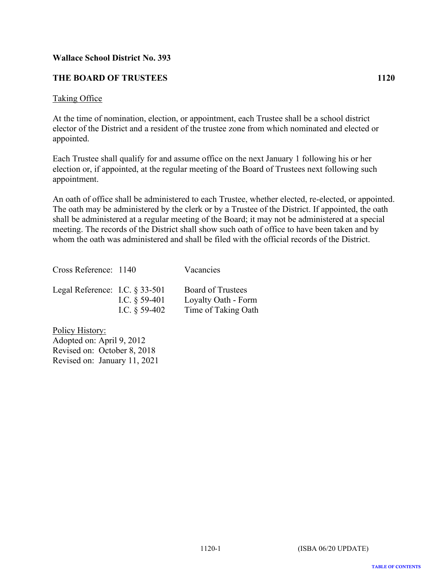# <span id="page-6-0"></span>**THE BOARD OF TRUSTEES 1120**

### Taking Office

At the time of nomination, election, or appointment, each Trustee shall be a school district elector of the District and a resident of the trustee zone from which nominated and elected or appointed.

Each Trustee shall qualify for and assume office on the next January 1 following his or her election or, if appointed, at the regular meeting of the Board of Trustees next following such appointment.

An oath of office shall be administered to each Trustee, whether elected, re-elected, or appointed. The oath may be administered by the clerk or by a Trustee of the District. If appointed, the oath shall be administered at a regular meeting of the Board; it may not be administered at a special meeting. The records of the District shall show such oath of office to have been taken and by whom the oath was administered and shall be filed with the official records of the District.

Cross Reference: 1140 Vacancies Legal Reference: I.C. § 33-501 Board of Trustees I.C. § 59-401 Loyalty Oath - Form I.C.  $\S$  59-402 Time of Taking Oath

Policy History: Adopted on: April 9, 2012 Revised on: October 8, 2018 Revised on: January 11, 2021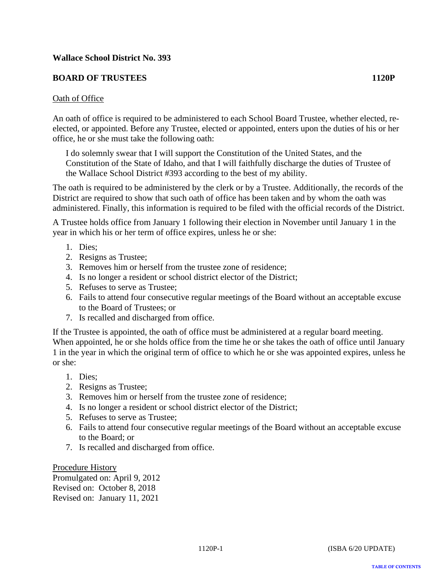# <span id="page-7-0"></span>**BOARD OF TRUSTEES 1120P**

### Oath of Office

An oath of office is required to be administered to each School Board Trustee, whether elected, reelected, or appointed. Before any Trustee, elected or appointed, enters upon the duties of his or her office, he or she must take the following oath:

I do solemnly swear that I will support the Constitution of the United States, and the Constitution of the State of Idaho, and that I will faithfully discharge the duties of Trustee of the Wallace School District #393 according to the best of my ability.

The oath is required to be administered by the clerk or by a Trustee. Additionally, the records of the District are required to show that such oath of office has been taken and by whom the oath was administered. Finally, this information is required to be filed with the official records of the District.

A Trustee holds office from January 1 following their election in November until January 1 in the year in which his or her term of office expires, unless he or she:

- 1. Dies;
- 2. Resigns as Trustee;
- 3. Removes him or herself from the trustee zone of residence;
- 4. Is no longer a resident or school district elector of the District;
- 5. Refuses to serve as Trustee;
- 6. Fails to attend four consecutive regular meetings of the Board without an acceptable excuse to the Board of Trustees; or
- 7. Is recalled and discharged from office.

If the Trustee is appointed, the oath of office must be administered at a regular board meeting. When appointed, he or she holds office from the time he or she takes the oath of office until January 1 in the year in which the original term of office to which he or she was appointed expires, unless he or she:

- 1. Dies;
- 2. Resigns as Trustee;
- 3. Removes him or herself from the trustee zone of residence;
- 4. Is no longer a resident or school district elector of the District;
- 5. Refuses to serve as Trustee;
- 6. Fails to attend four consecutive regular meetings of the Board without an acceptable excuse to the Board; or
- 7. Is recalled and discharged from office.

Procedure History Promulgated on: April 9, 2012 Revised on: October 8, 2018 Revised on: January 11, 2021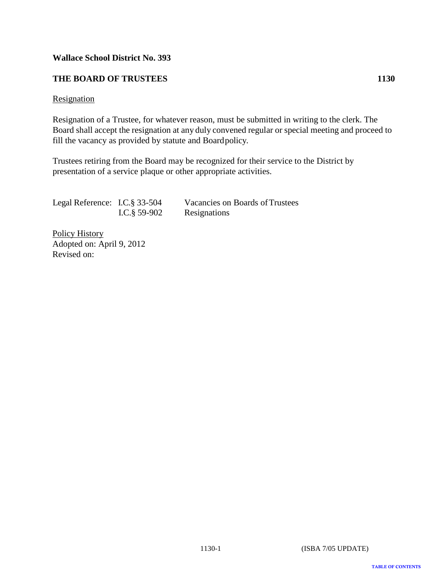# <span id="page-8-0"></span>**THE BOARD OF TRUSTEES 1130**

### **Resignation**

Resignation of a Trustee, for whatever reason, must be submitted in writing to the clerk. The Board shall accept the resignation at any duly convened regular or special meeting and proceed to fill the vacancy as provided by statute and Board policy.

Trustees retiring from the Board may be recognized for their service to the District by presentation of a service plaque or other appropriate activities.

| Legal Reference: I.C. § 33-504 |               | Vacancies on Boards of Trustees |
|--------------------------------|---------------|---------------------------------|
|                                | I.C. § 59-902 | Resignations                    |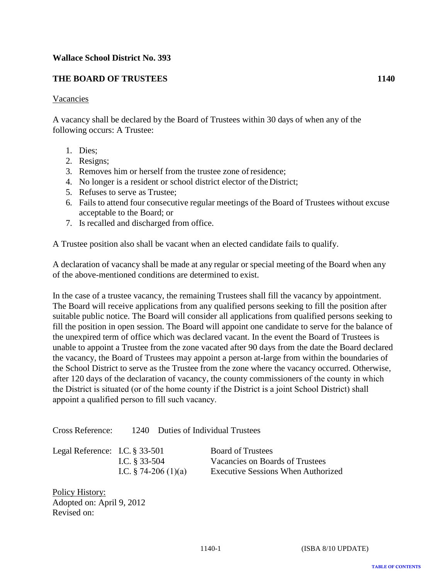# <span id="page-9-0"></span>**THE BOARD OF TRUSTEES 1140**

### Vacancies

A vacancy shall be declared by the Board of Trustees within 30 days of when any of the following occurs: A Trustee:

- 1. Dies;
- 2. Resigns;
- 3. Removes him or herself from the trustee zone of residence;
- 4. No longer is a resident or school district elector of the District;
- 5. Refuses to serve as Trustee;
- 6. Fails to attend four consecutive regular meetings of the Board of Trustees without excuse acceptable to the Board; or
- 7. Is recalled and discharged from office.

A Trustee position also shall be vacant when an elected candidate fails to qualify.

A declaration of vacancy shall be made at any regular or special meeting of the Board when any of the above-mentioned conditions are determined to exist.

In the case of a trustee vacancy, the remaining Trustees shall fill the vacancy by appointment. The Board will receive applications from any qualified persons seeking to fill the position after suitable public notice. The Board will consider all applications from qualified persons seeking to fill the position in open session. The Board will appoint one candidate to serve for the balance of the unexpired term of office which was declared vacant. In the event the Board of Trustees is unable to appoint a Trustee from the zone vacated after 90 days from the date the Board declared the vacancy, the Board of Trustees may appoint a person at-large from within the boundaries of the School District to serve as the Trustee from the zone where the vacancy occurred. Otherwise, after 120 days of the declaration of vacancy, the county commissioners of the county in which the District is situated (or of the home county if the District is a joint School District) shall appoint a qualified person to fill such vacancy.

Cross Reference: 1240 Duties of Individual Trustees

| Legal Reference: I.C. $\S 33-501$ |                         | <b>Board of Trustees</b>                  |
|-----------------------------------|-------------------------|-------------------------------------------|
|                                   | I.C. $§$ 33-504         | Vacancies on Boards of Trustees           |
|                                   | I.C. $\S$ 74-206 (1)(a) | <b>Executive Sessions When Authorized</b> |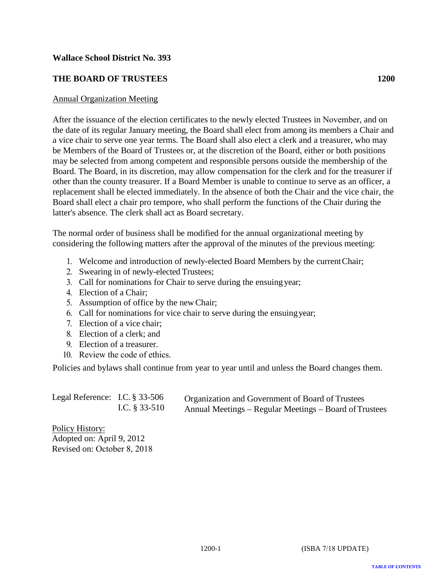# <span id="page-10-0"></span>**THE BOARD OF TRUSTEES 1200**

### Annual Organization Meeting

After the issuance of the election certificates to the newly elected Trustees in November, and on the date of its regular January meeting, the Board shall elect from among its members a Chair and a vice chair to serve one year terms. The Board shall also elect a clerk and a treasurer, who may be Members of the Board of Trustees or, at the discretion of the Board, either or both positions may be selected from among competent and responsible persons outside the membership of the Board. The Board, in its discretion, may allow compensation for the clerk and for the treasurer if other than the county treasurer. If a Board Member is unable to continue to serve as an officer, a replacement shall be elected immediately. In the absence of both the Chair and the vice chair, the Board shall elect a chair pro tempore, who shall perform the functions of the Chair during the latter's absence. The clerk shall act as Board secretary.

The normal order of business shall be modified for the annual organizational meeting by considering the following matters after the approval of the minutes of the previous meeting:

- 1. Welcome and introduction of newly-elected Board Members by the currentChair;
- 2. Swearing in of newly-elected Trustees;
- 3. Call for nominations for Chair to serve during the ensuing year;
- 4. Election of a Chair;
- 5. Assumption of office by the new Chair;
- 6. Call for nominations for vice chair to serve during the ensuing year;
- 7. Election of a vice chair;
- 8. Election of a clerk; and
- 9. Election of a treasurer.
- 10. Review the code of ethics.

Policies and bylaws shall continue from year to year until and unless the Board changes them.

| Legal Reference: I.C. $\S$ 33-506 |                  | Organization and Government of Board of Trustees       |
|-----------------------------------|------------------|--------------------------------------------------------|
|                                   | I.C. $\S 33-510$ | Annual Meetings – Regular Meetings – Board of Trustees |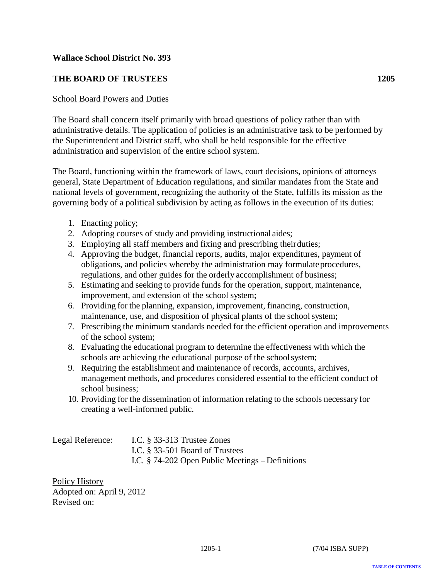# <span id="page-11-0"></span>**THE BOARD OF TRUSTEES 1205**

### School Board Powers and Duties

The Board shall concern itself primarily with broad questions of policy rather than with administrative details. The application of policies is an administrative task to be performed by the Superintendent and District staff, who shall be held responsible for the effective administration and supervision of the entire school system.

The Board, functioning within the framework of laws, court decisions, opinions of attorneys general, State Department of Education regulations, and similar mandates from the State and national levels of government, recognizing the authority of the State, fulfills its mission as the governing body of a political subdivision by acting as follows in the execution of its duties:

- 1. Enacting policy;
- 2. Adopting courses of study and providing instructional aides;
- 3. Employing all staff members and fixing and prescribing their duties;
- 4. Approving the budget, financial reports, audits, major expenditures, payment of obligations, and policies whereby the administration may formulate procedures, regulations, and other guides for the orderly accomplishment of business;
- 5. Estimating and seeking to provide funds for the operation, support, maintenance, improvement, and extension of the school system;
- 6. Providing for the planning, expansion, improvement, financing, construction, maintenance, use, and disposition of physical plants of the school system;
- 7. Prescribing the minimum standards needed for the efficient operation and improvements of the school system;
- 8. Evaluating the educational program to determine the effectiveness with which the schools are achieving the educational purpose of the school system;
- 9. Requiring the establishment and maintenance of records, accounts, archives, management methods, and procedures considered essential to the efficient conduct of school business;
- 10. Providing for the dissemination of information relating to the schools necessary for creating a well-informed public.

| Legal Reference: | I.C. $§$ 33-313 Trustee Zones                       |
|------------------|-----------------------------------------------------|
|                  | I.C. § 33-501 Board of Trustees                     |
|                  | I.C. $\S$ 74-202 Open Public Meetings – Definitions |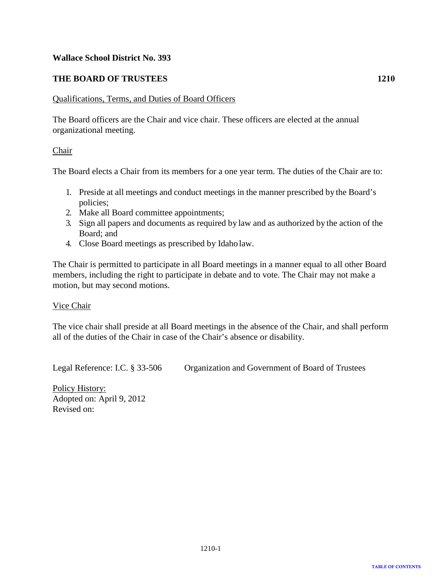# <span id="page-12-0"></span>**THE BOARD OF TRUSTEES 1210**

### Qualifications, Terms, and Duties of Board Officers

The Board officers are the Chair and vice chair. These officers are elected at the annual organizational meeting.

### Chair

The Board elects a Chair from its members for a one year term. The duties of the Chair are to:

- 1. Preside at all meetings and conduct meetings in the manner prescribed by the Board's policies;
- 2. Make all Board committee appointments;
- 3. Sign all papers and documents as required by law and as authorized by the action of the Board; and
- 4. Close Board meetings as prescribed by Idaho law.

The Chair is permitted to participate in all Board meetings in a manner equal to all other Board members, including the right to participate in debate and to vote. The Chair may not make a motion, but may second motions.

### Vice Chair

The vice chair shall preside at all Board meetings in the absence of the Chair, and shall perform all of the duties of the Chair in case of the Chair's absence or disability.

Legal Reference: I.C. § 33-506 Organization and Government of Board of Trustees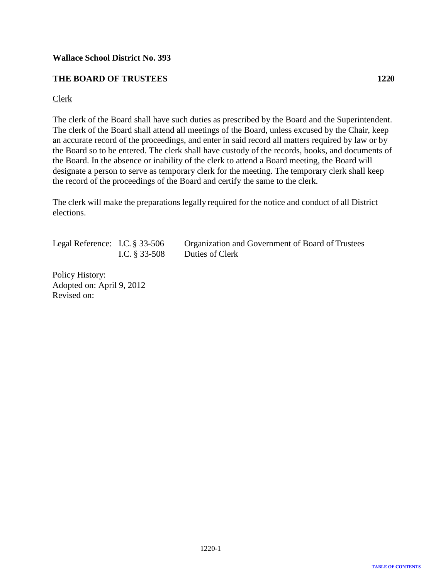# <span id="page-13-0"></span>**THE BOARD OF TRUSTEES 1220**

### Clerk

The clerk of the Board shall have such duties as prescribed by the Board and the Superintendent. The clerk of the Board shall attend all meetings of the Board, unless excused by the Chair, keep an accurate record of the proceedings, and enter in said record all matters required by law or by the Board so to be entered. The clerk shall have custody of the records, books, and documents of the Board. In the absence or inability of the clerk to attend a Board meeting, the Board will designate a person to serve as temporary clerk for the meeting. The temporary clerk shall keep the record of the proceedings of the Board and certify the same to the clerk.

The clerk will make the preparations legally required for the notice and conduct of all District elections.

Legal Reference: I.C. § 33-506 Organization and Government of Board of Trustees I.C. § 33-508 Duties of Clerk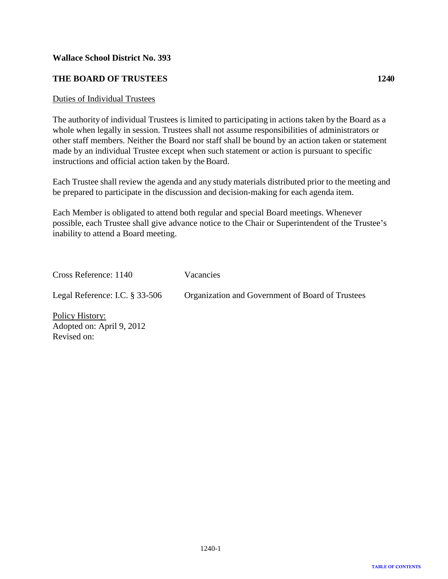# <span id="page-14-0"></span>**THE BOARD OF TRUSTEES 1240**

### Duties of Individual Trustees

The authority of individual Trustees is limited to participating in actions taken by the Board as a whole when legally in session. Trustees shall not assume responsibilities of administrators or other staff members. Neither the Board nor staff shall be bound by an action taken or statement made by an individual Trustee except when such statement or action is pursuant to specific instructions and official action taken by the Board.

Each Trustee shall review the agenda and any study materials distributed prior to the meeting and be prepared to participate in the discussion and decision-making for each agenda item.

Each Member is obligated to attend both regular and special Board meetings. Whenever possible, each Trustee shall give advance notice to the Chair or Superintendent of the Trustee's inability to attend a Board meeting.

| Cross Reference: 1140             | Vacancies                                        |
|-----------------------------------|--------------------------------------------------|
| Legal Reference: I.C. $\S$ 33-506 | Organization and Government of Board of Trustees |
| <b>Policy History:</b>            |                                                  |

Adopted on: April 9, 2012 Revised on: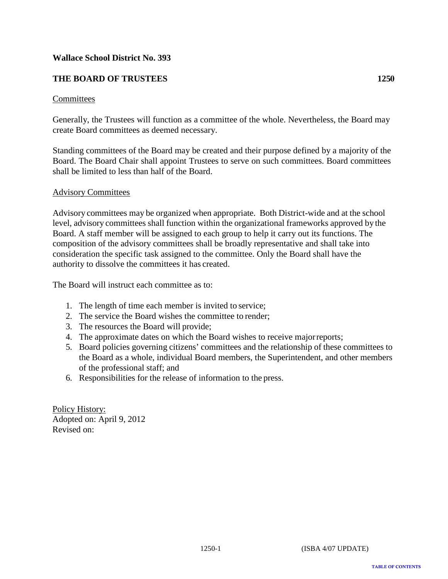# <span id="page-15-0"></span>**THE BOARD OF TRUSTEES 1250**

### Committees

Generally, the Trustees will function as a committee of the whole. Nevertheless, the Board may create Board committees as deemed necessary.

Standing committees of the Board may be created and their purpose defined by a majority of the Board. The Board Chair shall appoint Trustees to serve on such committees. Board committees shall be limited to less than half of the Board.

### Advisory Committees

Advisory committees may be organized when appropriate. Both District-wide and at the school level, advisory committees shall function within the organizational frameworks approved by the Board. A staff member will be assigned to each group to help it carry out its functions. The composition of the advisory committees shall be broadly representative and shall take into consideration the specific task assigned to the committee. Only the Board shall have the authority to dissolve the committees it has created.

The Board will instruct each committee as to:

- 1. The length of time each member is invited to service;
- 2. The service the Board wishes the committee to render;
- 3. The resources the Board will provide;
- 4. The approximate dates on which the Board wishes to receive majorreports;
- 5. Board policies governing citizens' committees and the relationship of these committees to the Board as a whole, individual Board members, the Superintendent, and other members of the professional staff; and
- 6. Responsibilities for the release of information to the press.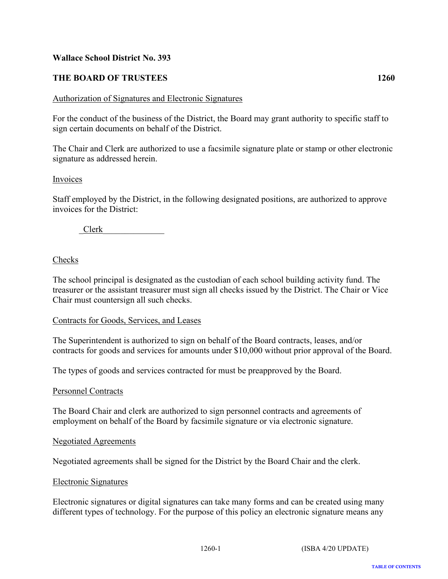# <span id="page-16-0"></span>**THE BOARD OF TRUSTEES 1260**

### Authorization of Signatures and Electronic Signatures

For the conduct of the business of the District, the Board may grant authority to specific staff to sign certain documents on behalf of the District.

The Chair and Clerk are authorized to use a facsimile signature plate or stamp or other electronic signature as addressed herein.

### Invoices

Staff employed by the District, in the following designated positions, are authorized to approve invoices for the District:

 $Clerk$ 

# Checks

The school principal is designated as the custodian of each school building activity fund. The treasurer or the assistant treasurer must sign all checks issued by the District. The Chair or Vice Chair must countersign all such checks.

### Contracts for Goods, Services, and Leases

The Superintendent is authorized to sign on behalf of the Board contracts, leases, and/or contracts for goods and services for amounts under \$10,000 without prior approval of the Board.

The types of goods and services contracted for must be preapproved by the Board.

### Personnel Contracts

The Board Chair and clerk are authorized to sign personnel contracts and agreements of employment on behalf of the Board by facsimile signature or via electronic signature.

### Negotiated Agreements

Negotiated agreements shall be signed for the District by the Board Chair and the clerk.

### Electronic Signatures

Electronic signatures or digital signatures can take many forms and can be created using many different types of technology. For the purpose of this policy an electronic signature means any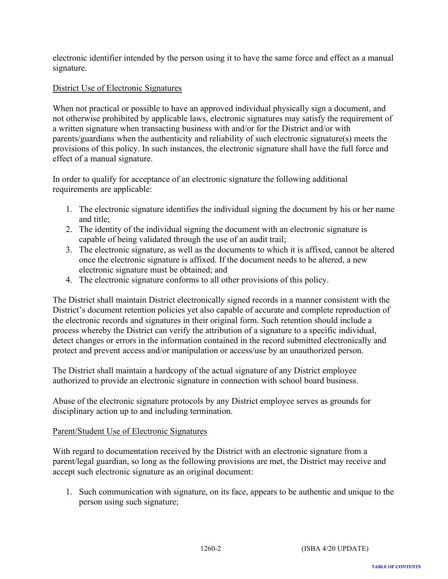electronic identifier intended by the person using it to have the same force and effect as a manual signature.

# District Use of Electronic Signatures

When not practical or possible to have an approved individual physically sign a document, and not otherwise prohibited by applicable laws, electronic signatures may satisfy the requirement of a written signature when transacting business with and/or for the District and/or with parents/guardians when the authenticity and reliability of such electronic signature(s) meets the provisions of this policy. In such instances, the electronic signature shall have the full force and effect of a manual signature.

In order to qualify for acceptance of an electronic signature the following additional requirements are applicable:

- 1. The electronic signature identifies the individual signing the document by his or her name and title;
- 2. The identity of the individual signing the document with an electronic signature is capable of being validated through the use of an audit trail;
- 3. The electronic signature, as well as the documents to which it is affixed, cannot be altered once the electronic signature is affixed. If the document needs to be altered, a new electronic signature must be obtained; and
- 4. The electronic signature conforms to all other provisions of this policy.

The District shall maintain District electronically signed records in a manner consistent with the District's document retention policies yet also capable of accurate and complete reproduction of the electronic records and signatures in their original form. Such retention should include a process whereby the District can verify the attribution of a signature to a specific individual, detect changes or errors in the information contained in the record submitted electronically and protect and prevent access and/or manipulation or access/use by an unauthorized person.

The District shall maintain a hardcopy of the actual signature of any District employee authorized to provide an electronic signature in connection with school board business.

Abuse of the electronic signature protocols by any District employee serves as grounds for disciplinary action up to and including termination.

# Parent/Student Use of Electronic Signatures

With regard to documentation received by the District with an electronic signature from a parent/legal guardian, so long as the following provisions are met, the District may receive and accept such electronic signature as an original document:

1. Such communication with signature, on its face, appears to be authentic and unique to the person using such signature;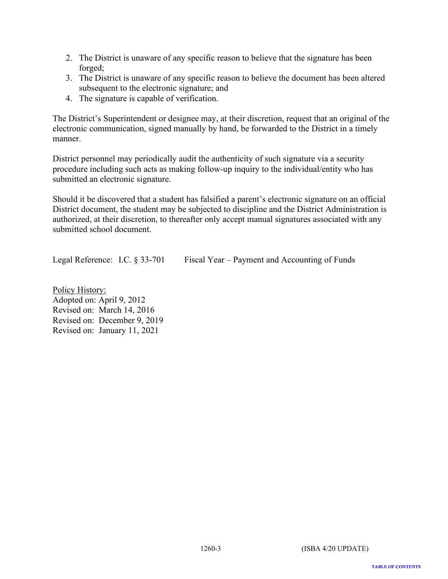- 2. The District is unaware of any specific reason to believe that the signature has been forged;
- 3. The District is unaware of any specific reason to believe the document has been altered subsequent to the electronic signature; and
- 4. The signature is capable of verification.

The District's Superintendent or designee may, at their discretion, request that an original of the electronic communication, signed manually by hand, be forwarded to the District in a timely manner.

District personnel may periodically audit the authenticity of such signature via a security procedure including such acts as making follow-up inquiry to the individual/entity who has submitted an electronic signature.

Should it be discovered that a student has falsified a parent's electronic signature on an official District document, the student may be subjected to discipline and the District Administration is authorized, at their discretion, to thereafter only accept manual signatures associated with any submitted school document.

Legal Reference: I.C. § 33-701 Fiscal Year – Payment and Accounting of Funds

Policy History: Adopted on: April 9, 2012 Revised on: March 14, 2016 Revised on: December 9, 2019 Revised on: January 11, 2021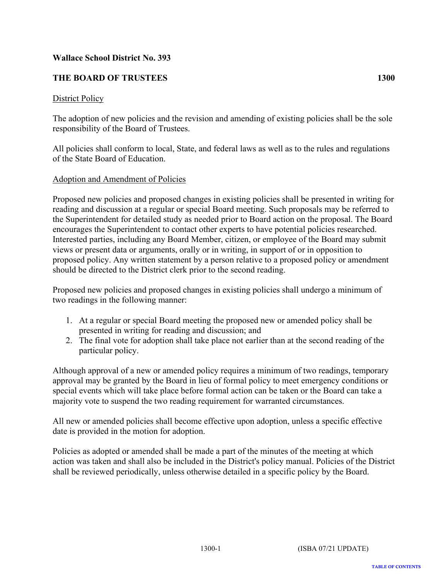# <span id="page-19-0"></span>**THE BOARD OF TRUSTEES 1300**

# District Policy

The adoption of new policies and the revision and amending of existing policies shall be the sole responsibility of the Board of Trustees.

All policies shall conform to local, State, and federal laws as well as to the rules and regulations of the State Board of Education.

# Adoption and Amendment of Policies

Proposed new policies and proposed changes in existing policies shall be presented in writing for reading and discussion at a regular or special Board meeting. Such proposals may be referred to the Superintendent for detailed study as needed prior to Board action on the proposal. The Board encourages the Superintendent to contact other experts to have potential policies researched. Interested parties, including any Board Member, citizen, or employee of the Board may submit views or present data or arguments, orally or in writing, in support of or in opposition to proposed policy. Any written statement by a person relative to a proposed policy or amendment should be directed to the District clerk prior to the second reading.

Proposed new policies and proposed changes in existing policies shall undergo a minimum of two readings in the following manner:

- 1. At a regular or special Board meeting the proposed new or amended policy shall be presented in writing for reading and discussion; and
- 2. The final vote for adoption shall take place not earlier than at the second reading of the particular policy.

Although approval of a new or amended policy requires a minimum of two readings, temporary approval may be granted by the Board in lieu of formal policy to meet emergency conditions or special events which will take place before formal action can be taken or the Board can take a majority vote to suspend the two reading requirement for warranted circumstances.

All new or amended policies shall become effective upon adoption, unless a specific effective date is provided in the motion for adoption.

Policies as adopted or amended shall be made a part of the minutes of the meeting at which action was taken and shall also be included in the District's policy manual. Policies of the District shall be reviewed periodically, unless otherwise detailed in a specific policy by the Board.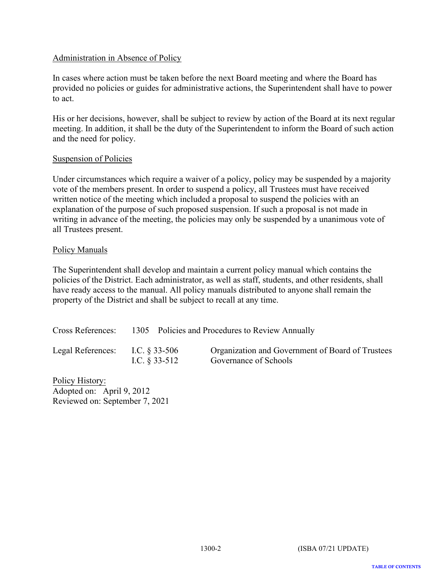# Administration in Absence of Policy

In cases where action must be taken before the next Board meeting and where the Board has provided no policies or guides for administrative actions, the Superintendent shall have to power to act.

His or her decisions, however, shall be subject to review by action of the Board at its next regular meeting. In addition, it shall be the duty of the Superintendent to inform the Board of such action and the need for policy.

### Suspension of Policies

Under circumstances which require a waiver of a policy, policy may be suspended by a majority vote of the members present. In order to suspend a policy, all Trustees must have received written notice of the meeting which included a proposal to suspend the policies with an explanation of the purpose of such proposed suspension. If such a proposal is not made in writing in advance of the meeting, the policies may only be suspended by a unanimous vote of all Trustees present.

### Policy Manuals

The Superintendent shall develop and maintain a current policy manual which contains the policies of the District. Each administrator, as well as staff, students, and other residents, shall have ready access to the manual. All policy manuals distributed to anyone shall remain the property of the District and shall be subject to recall at any time.

| Cross References: |                                     | 1305 Policies and Procedures to Review Annually                           |
|-------------------|-------------------------------------|---------------------------------------------------------------------------|
| Legal References: | I.C. $\&$ 33-506<br>I.C. $§$ 33-512 | Organization and Government of Board of Trustees<br>Governance of Schools |

Policy History: Adopted on: April 9, 2012 Reviewed on: September 7, 2021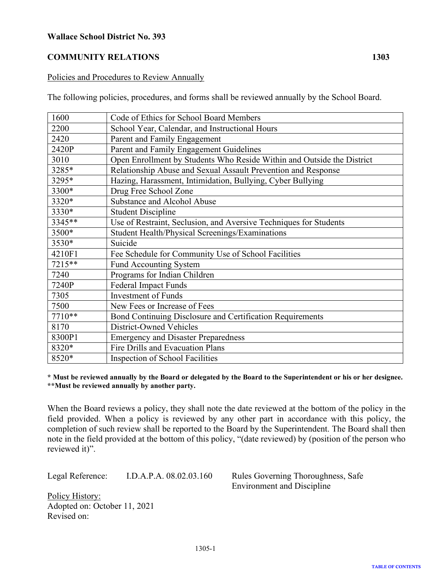# <span id="page-21-0"></span>**COMMUNITY RELATIONS 1303**

### Policies and Procedures to Review Annually

The following policies, procedures, and forms shall be reviewed annually by the School Board.

| 1600   | Code of Ethics for School Board Members                                |
|--------|------------------------------------------------------------------------|
| 2200   | School Year, Calendar, and Instructional Hours                         |
| 2420   | Parent and Family Engagement                                           |
| 2420P  | Parent and Family Engagement Guidelines                                |
| 3010   | Open Enrollment by Students Who Reside Within and Outside the District |
| 3285*  | Relationship Abuse and Sexual Assault Prevention and Response          |
| 3295*  | Hazing, Harassment, Intimidation, Bullying, Cyber Bullying             |
| 3300*  | Drug Free School Zone                                                  |
| 3320*  | Substance and Alcohol Abuse                                            |
| 3330*  | <b>Student Discipline</b>                                              |
| 3345** | Use of Restraint, Seclusion, and Aversive Techniques for Students      |
| 3500*  | Student Health/Physical Screenings/Examinations                        |
| 3530*  | Suicide                                                                |
| 4210F1 | Fee Schedule for Community Use of School Facilities                    |
| 7215** | Fund Accounting System                                                 |
| 7240   | Programs for Indian Children                                           |
| 7240P  | <b>Federal Impact Funds</b>                                            |
| 7305   | <b>Investment of Funds</b>                                             |
| 7500   | New Fees or Increase of Fees                                           |
| 7710** | Bond Continuing Disclosure and Certification Requirements              |
| 8170   | District-Owned Vehicles                                                |
| 8300P1 | <b>Emergency and Disaster Preparedness</b>                             |
| 8320*  | Fire Drills and Evacuation Plans                                       |
| 8520*  | Inspection of School Facilities                                        |

**\* Must be reviewed annually by the Board or delegated by the Board to the Superintendent or his or her designee. \*\*Must be reviewed annually by another party.**

When the Board reviews a policy, they shall note the date reviewed at the bottom of the policy in the field provided. When a policy is reviewed by any other part in accordance with this policy, the completion of such review shall be reported to the Board by the Superintendent. The Board shall then note in the field provided at the bottom of this policy, "(date reviewed) by (position of the person who reviewed it)".

Legal Reference: I.D.A.P.A. 08.02.03.160 Rules Governing Thoroughness, Safe

Environment and Discipline

Policy History: Adopted on: October 11, 2021 Revised on:

1305-1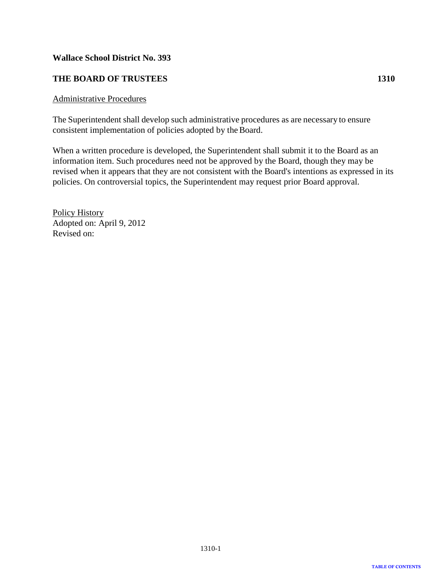# <span id="page-22-0"></span>**THE BOARD OF TRUSTEES 1310**

### Administrative Procedures

The Superintendent shall develop such administrative procedures as are necessary to ensure consistent implementation of policies adopted by the Board.

When a written procedure is developed, the Superintendent shall submit it to the Board as an information item. Such procedures need not be approved by the Board, though they may be revised when it appears that they are not consistent with the Board's intentions as expressed in its policies. On controversial topics, the Superintendent may request prior Board approval.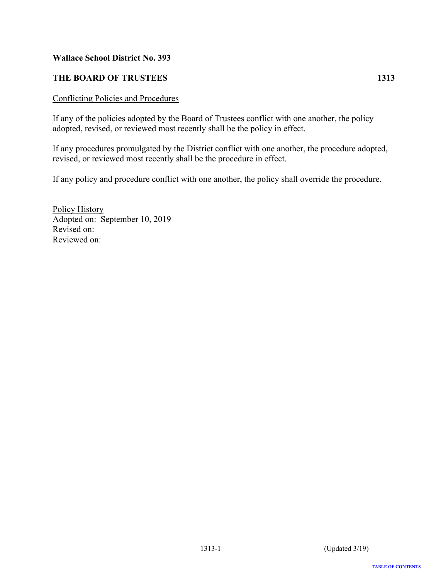# <span id="page-23-0"></span>**THE BOARD OF TRUSTEES** 1313

### Conflicting Policies and Procedures

If any of the policies adopted by the Board of Trustees conflict with one another, the policy adopted, revised, or reviewed most recently shall be the policy in effect.

If any procedures promulgated by the District conflict with one another, the procedure adopted, revised, or reviewed most recently shall be the procedure in effect.

If any policy and procedure conflict with one another, the policy shall override the procedure.

Policy History Adopted on: September 10, 2019 Revised on: Reviewed on: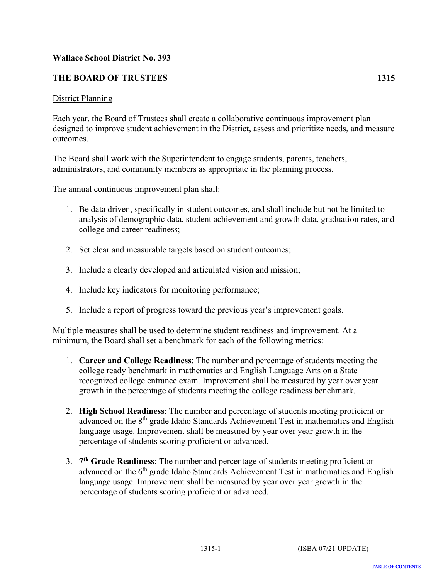# <span id="page-24-0"></span>**THE BOARD OF TRUSTEES 1315**

### District Planning

Each year, the Board of Trustees shall create a collaborative continuous improvement plan designed to improve student achievement in the District, assess and prioritize needs, and measure outcomes.

The Board shall work with the Superintendent to engage students, parents, teachers, administrators, and community members as appropriate in the planning process.

The annual continuous improvement plan shall:

- 1. Be data driven, specifically in student outcomes, and shall include but not be limited to analysis of demographic data, student achievement and growth data, graduation rates, and college and career readiness;
- 2. Set clear and measurable targets based on student outcomes;
- 3. Include a clearly developed and articulated vision and mission;
- 4. Include key indicators for monitoring performance;
- 5. Include a report of progress toward the previous year's improvement goals.

Multiple measures shall be used to determine student readiness and improvement. At a minimum, the Board shall set a benchmark for each of the following metrics:

- 1. **Career and College Readiness**: The number and percentage of students meeting the college ready benchmark in mathematics and English Language Arts on a State recognized college entrance exam. Improvement shall be measured by year over year growth in the percentage of students meeting the college readiness benchmark.
- 2. **High School Readiness**: The number and percentage of students meeting proficient or advanced on the 8<sup>th</sup> grade Idaho Standards Achievement Test in mathematics and English language usage. Improvement shall be measured by year over year growth in the percentage of students scoring proficient or advanced.
- 3. **7th Grade Readiness**: The number and percentage of students meeting proficient or advanced on the  $6<sup>th</sup>$  grade Idaho Standards Achievement Test in mathematics and English language usage. Improvement shall be measured by year over year growth in the percentage of students scoring proficient or advanced.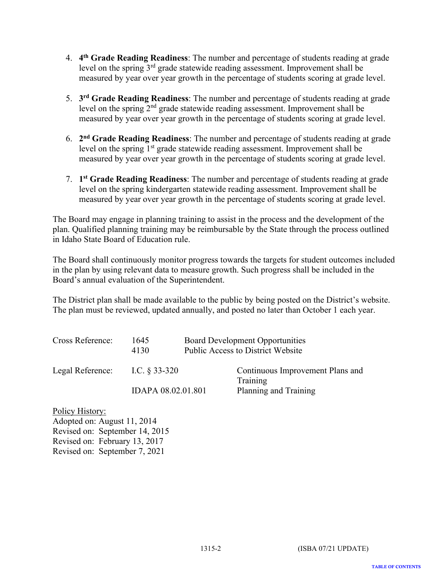- 4. **4th Grade Reading Readiness**: The number and percentage of students reading at grade level on the spring  $3<sup>rd</sup>$  grade statewide reading assessment. Improvement shall be measured by year over year growth in the percentage of students scoring at grade level.
- 5. **3rd Grade Reading Readiness**: The number and percentage of students reading at grade level on the spring 2nd grade statewide reading assessment. Improvement shall be measured by year over year growth in the percentage of students scoring at grade level.
- 6. **2nd Grade Reading Readiness**: The number and percentage of students reading at grade level on the spring 1<sup>st</sup> grade statewide reading assessment. Improvement shall be measured by year over year growth in the percentage of students scoring at grade level.
- 7. **1st Grade Reading Readiness**: The number and percentage of students reading at grade level on the spring kindergarten statewide reading assessment. Improvement shall be measured by year over year growth in the percentage of students scoring at grade level.

The Board may engage in planning training to assist in the process and the development of the plan. Qualified planning training may be reimbursable by the State through the process outlined in Idaho State Board of Education rule.

The Board shall continuously monitor progress towards the targets for student outcomes included in the plan by using relevant data to measure growth. Such progress shall be included in the Board's annual evaluation of the Superintendent.

The District plan shall be made available to the public by being posted on the District's website. The plan must be reviewed, updated annually, and posted no later than October 1 each year.

| Cross Reference: | 1645<br>4130       | <b>Board Development Opportunities</b><br><b>Public Access to District Website</b> |
|------------------|--------------------|------------------------------------------------------------------------------------|
| Legal Reference: | I.C. $\S$ 33-320   | Continuous Improvement Plans and<br>Training                                       |
|                  | IDAPA 08.02.01.801 | Planning and Training                                                              |

Policy History: Adopted on: August 11, 2014 Revised on: September 14, 2015 Revised on: February 13, 2017 Revised on: September 7, 2021

**TABLE OF CONTENTS**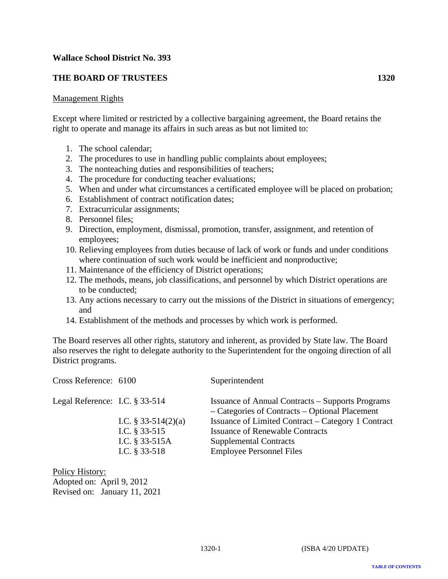# <span id="page-26-0"></span>**THE BOARD OF TRUSTEES 1320**

### Management Rights

Except where limited or restricted by a collective bargaining agreement, the Board retains the right to operate and manage its affairs in such areas as but not limited to:

- 1. The school calendar;
- 2. The procedures to use in handling public complaints about employees;
- 3. The nonteaching duties and responsibilities of teachers;
- 4. The procedure for conducting teacher evaluations;
- 5. When and under what circumstances a certificated employee will be placed on probation;
- 6. Establishment of contract notification dates;
- 7. Extracurricular assignments;
- 8. Personnel files;
- 9. Direction, employment, dismissal, promotion, transfer, assignment, and retention of employees;
- 10. Relieving employees from duties because of lack of work or funds and under conditions where continuation of such work would be inefficient and nonproductive;
- 11. Maintenance of the efficiency of District operations;
- 12. The methods, means, job classifications, and personnel by which District operations are to be conducted;
- 13. Any actions necessary to carry out the missions of the District in situations of emergency; and
- 14. Establishment of the methods and processes by which work is performed.

The Board reserves all other rights, statutory and inherent, as provided by State law. The Board also reserves the right to delegate authority to the Superintendent for the ongoing direction of all District programs.

| Cross Reference: 6100             |                                                                                  | Superintendent                                                                                                                                                   |
|-----------------------------------|----------------------------------------------------------------------------------|------------------------------------------------------------------------------------------------------------------------------------------------------------------|
| Legal Reference: I.C. $\S$ 33-514 |                                                                                  | <b>Issuance of Annual Contracts – Supports Programs</b><br>- Categories of Contracts - Optional Placement                                                        |
|                                   | I.C. $\S$ 33-514(2)(a)<br>I.C. $§$ 33-515<br>I.C. $§$ 33-515A<br>I.C. $§$ 33-518 | Issuance of Limited Contract – Category 1 Contract<br><b>Issuance of Renewable Contracts</b><br><b>Supplemental Contracts</b><br><b>Employee Personnel Files</b> |

Policy History: Adopted on: April 9, 2012 Revised on: January 11, 2021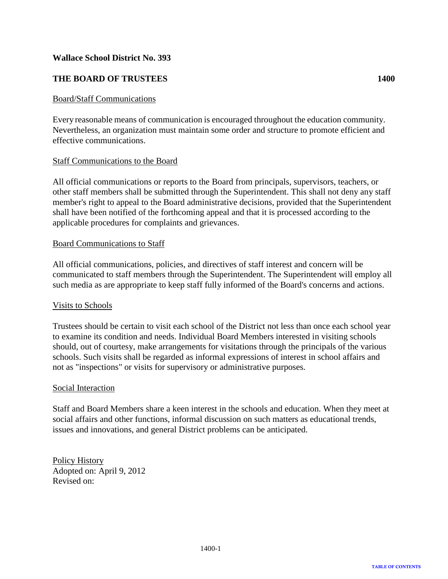# <span id="page-27-0"></span>**THE BOARD OF TRUSTEES 1400**

### Board/Staff Communications

Every reasonable means of communication is encouraged throughout the education community. Nevertheless, an organization must maintain some order and structure to promote efficient and effective communications.

### Staff Communications to the Board

All official communications or reports to the Board from principals, supervisors, teachers, or other staff members shall be submitted through the Superintendent. This shall not deny any staff member's right to appeal to the Board administrative decisions, provided that the Superintendent shall have been notified of the forthcoming appeal and that it is processed according to the applicable procedures for complaints and grievances.

### Board Communications to Staff

All official communications, policies, and directives of staff interest and concern will be communicated to staff members through the Superintendent. The Superintendent will employ all such media as are appropriate to keep staff fully informed of the Board's concerns and actions.

### Visits to Schools

Trustees should be certain to visit each school of the District not less than once each school year to examine its condition and needs. Individual Board Members interested in visiting schools should, out of courtesy, make arrangements for visitations through the principals of the various schools. Such visits shall be regarded as informal expressions of interest in school affairs and not as "inspections" or visits for supervisory or administrative purposes.

### Social Interaction

Staff and Board Members share a keen interest in the schools and education. When they meet at social affairs and other functions, informal discussion on such matters as educational trends, issues and innovations, and general District problems can be anticipated.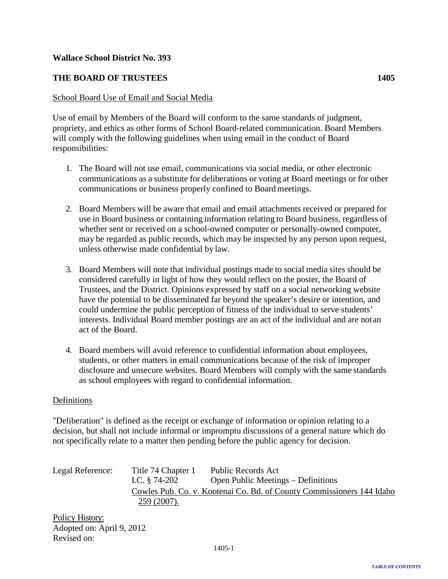# <span id="page-28-0"></span>**THE BOARD OF TRUSTEES 1405**

### School Board Use of Email and Social Media

Use of email by Members of the Board will conform to the same standards of judgment, propriety, and ethics as other forms of School Board-related communication. Board Members will comply with the following guidelines when using email in the conduct of Board responsibilities:

- 1. The Board will not use email, communications via social media, or other electronic communications as a substitute for deliberations or voting at Board meetings or for other communications or business properly confined to Board meetings.
- 2. Board Members will be aware that email and email attachments received or prepared for use in Board business or containing information relating to Board business, regardless of whether sent or received on a school-owned computer or personally-owned computer, may be regarded as public records, which may be inspected by any person upon request, unless otherwise made confidential by law.
- 3. Board Members will note that individual postings made to social media sites should be considered carefully in light of how they would reflect on the poster, the Board of Trustees, and the District. Opinions expressed by staff on a social networking website have the potential to be disseminated far beyond the speaker's desire or intention, and could undermine the public perception of fitness of the individual to serve students' interests. Individual Board member postings are an act of the individual and are not an act of the Board.
- 4. Board members will avoid reference to confidential information about employees, students, or other matters in email communications because of the risk of improper disclosure and unsecure websites. Board Members will comply with the same standards as school employees with regard to confidential information.

### Definitions

"Deliberation" is defined as the receipt or exchange of information or opinion relating to a decision, but shall not include informal or impromptu discussions of a general nature which do not specifically relate to a matter then pending before the public agency for decision.

| Legal Reference: | Title 74 Chapter 1<br>I.C. $§$ 74-202                                                  | Public Records Act<br>Open Public Meetings – Definitions |
|------------------|----------------------------------------------------------------------------------------|----------------------------------------------------------|
|                  | Cowles Pub. Co. v. Kootenai Co. Bd. of County Commissioners 144 Idaho<br>$259(2007)$ . |                                                          |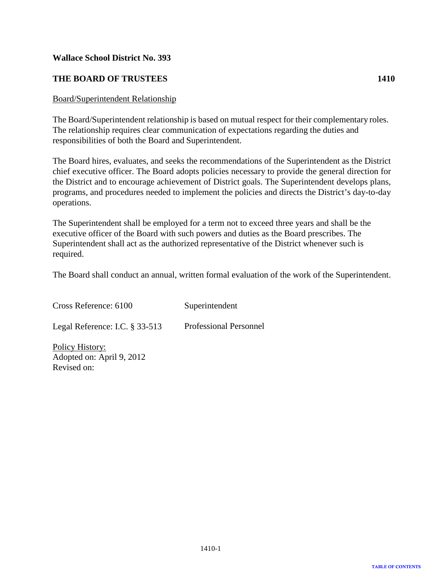# <span id="page-29-0"></span>**THE BOARD OF TRUSTEES 1410**

### Board/Superintendent Relationship

The Board/Superintendent relationship is based on mutual respect for their complementary roles. The relationship requires clear communication of expectations regarding the duties and responsibilities of both the Board and Superintendent.

The Board hires, evaluates, and seeks the recommendations of the Superintendent as the District chief executive officer. The Board adopts policies necessary to provide the general direction for the District and to encourage achievement of District goals. The Superintendent develops plans, programs, and procedures needed to implement the policies and directs the District's day-to-day operations.

The Superintendent shall be employed for a term not to exceed three years and shall be the executive officer of the Board with such powers and duties as the Board prescribes. The Superintendent shall act as the authorized representative of the District whenever such is required.

The Board shall conduct an annual, written formal evaluation of the work of the Superintendent.

| Cross Reference: 6100                        | Superintendent                |
|----------------------------------------------|-------------------------------|
| Legal Reference: I.C. $\S$ 33-513            | <b>Professional Personnel</b> |
| Policy History:<br>Adopted on: April 9, 2012 |                               |

Revised on: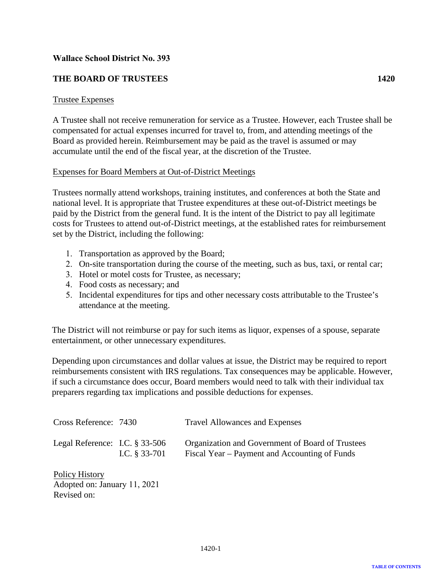# <span id="page-30-0"></span>**THE BOARD OF TRUSTEES**

### Trustee Expenses

A Trustee shall not receive remuneration for service as a Trustee. However, each Trustee shall be compensated for actual expenses incurred for travel to, from, and attending meetings of the Board as provided herein. Reimbursement may be paid as the travel is assumed or may accumulate until the end of the fiscal year, at the discretion of the Trustee.

### Expenses for Board Members at Out-of-District Meetings

Trustees normally attend workshops, training institutes, and conferences at both the State and national level. It is appropriate that Trustee expenditures at these out-of-District meetings be paid by the District from the general fund. It is the intent of the District to pay all legitimate costs for Trustees to attend out-of-District meetings, at the established rates for reimbursement set by the District, including the following:

- 1. Transportation as approved by the Board;
- 2. On-site transportation during the course of the meeting, such as bus, taxi, or rental car;
- 3. Hotel or motel costs for Trustee, as necessary;
- 4. Food costs as necessary; and
- 5. Incidental expenditures for tips and other necessary costs attributable to the Trustee's attendance at the meeting.

The District will not reimburse or pay for such items as liquor, expenses of a spouse, separate entertainment, or other unnecessary expenditures.

Depending upon circumstances and dollar values at issue, the District may be required to report reimbursements consistent with IRS regulations. Tax consequences may be applicable. However, if such a circumstance does occur, Board members would need to talk with their individual tax preparers regarding tax implications and possible deductions for expenses.

| Cross Reference: 7430             |                 | <b>Travel Allowances and Expenses</b>                                                             |
|-----------------------------------|-----------------|---------------------------------------------------------------------------------------------------|
| Legal Reference: I.C. $\S 33-506$ | I.C. $§$ 33-701 | Organization and Government of Board of Trustees<br>Fiscal Year – Payment and Accounting of Funds |

Policy History Adopted on: January 11, 2021 Revised on: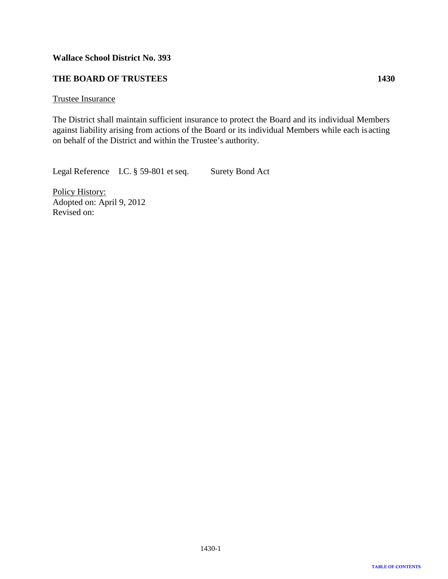# <span id="page-31-0"></span>**THE BOARD OF TRUSTEES 1430**

### Trustee Insurance

The District shall maintain sufficient insurance to protect the Board and its individual Members against liability arising from actions of the Board or its individual Members while each isacting on behalf of the District and within the Trustee's authority.

Legal Reference I.C. § 59-801 et seq. Surety Bond Act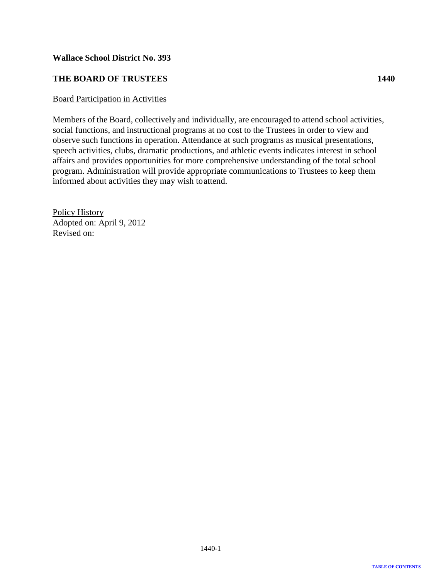# <span id="page-32-0"></span>**THE BOARD OF TRUSTEES 1440**

### Board Participation in Activities

Members of the Board, collectively and individually, are encouraged to attend school activities, social functions, and instructional programs at no cost to the Trustees in order to view and observe such functions in operation. Attendance at such programs as musical presentations, speech activities, clubs, dramatic productions, and athletic events indicates interest in school affairs and provides opportunities for more comprehensive understanding of the total school program. Administration will provide appropriate communications to Trustees to keep them informed about activities they may wish toattend.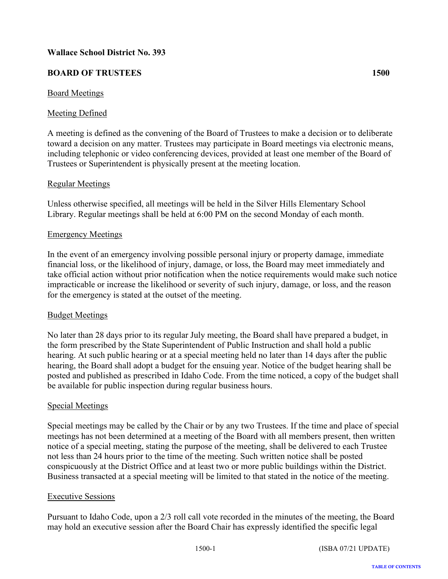# <span id="page-33-0"></span>**BOARD OF TRUSTEES 1500**

# Board Meetings

# Meeting Defined

A meeting is defined as the convening of the Board of Trustees to make a decision or to deliberate toward a decision on any matter. Trustees may participate in Board meetings via electronic means, including telephonic or video conferencing devices, provided at least one member of the Board of Trustees or Superintendent is physically present at the meeting location.

# Regular Meetings

Unless otherwise specified, all meetings will be held in the Silver Hills Elementary School Library. Regular meetings shall be held at 6:00 PM on the second Monday of each month.

### Emergency Meetings

In the event of an emergency involving possible personal injury or property damage, immediate financial loss, or the likelihood of injury, damage, or loss, the Board may meet immediately and take official action without prior notification when the notice requirements would make such notice impracticable or increase the likelihood or severity of such injury, damage, or loss, and the reason for the emergency is stated at the outset of the meeting.

### Budget Meetings

No later than 28 days prior to its regular July meeting, the Board shall have prepared a budget, in the form prescribed by the State Superintendent of Public Instruction and shall hold a public hearing. At such public hearing or at a special meeting held no later than 14 days after the public hearing, the Board shall adopt a budget for the ensuing year. Notice of the budget hearing shall be posted and published as prescribed in Idaho Code. From the time noticed, a copy of the budget shall be available for public inspection during regular business hours.

### Special Meetings

Special meetings may be called by the Chair or by any two Trustees. If the time and place of special meetings has not been determined at a meeting of the Board with all members present, then written notice of a special meeting, stating the purpose of the meeting, shall be delivered to each Trustee not less than 24 hours prior to the time of the meeting. Such written notice shall be posted conspicuously at the District Office and at least two or more public buildings within the District. Business transacted at a special meeting will be limited to that stated in the notice of the meeting.

### Executive Sessions

Pursuant to Idaho Code, upon a 2/3 roll call vote recorded in the minutes of the meeting, the Board may hold an executive session after the Board Chair has expressly identified the specific legal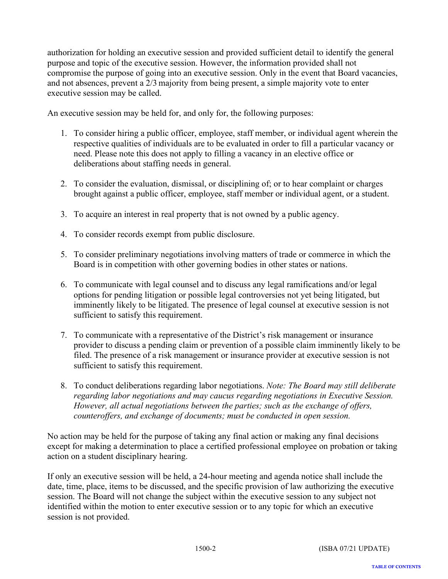authorization for holding an executive session and provided sufficient detail to identify the general purpose and topic of the executive session. However, the information provided shall not compromise the purpose of going into an executive session. Only in the event that Board vacancies, and not absences, prevent a 2/3 majority from being present, a simple majority vote to enter executive session may be called.

An executive session may be held for, and only for, the following purposes:

- 1. To consider hiring a public officer, employee, staff member, or individual agent wherein the respective qualities of individuals are to be evaluated in order to fill a particular vacancy or need. Please note this does not apply to filling a vacancy in an elective office or deliberations about staffing needs in general.
- 2. To consider the evaluation, dismissal, or disciplining of; or to hear complaint or charges brought against a public officer, employee, staff member or individual agent, or a student.
- 3. To acquire an interest in real property that is not owned by a public agency.
- 4. To consider records exempt from public disclosure.
- 5. To consider preliminary negotiations involving matters of trade or commerce in which the Board is in competition with other governing bodies in other states or nations.
- 6. To communicate with legal counsel and to discuss any legal ramifications and/or legal options for pending litigation or possible legal controversies not yet being litigated, but imminently likely to be litigated. The presence of legal counsel at executive session is not sufficient to satisfy this requirement.
- 7. To communicate with a representative of the District's risk management or insurance provider to discuss a pending claim or prevention of a possible claim imminently likely to be filed. The presence of a risk management or insurance provider at executive session is not sufficient to satisfy this requirement.
- 8. To conduct deliberations regarding labor negotiations. *Note: The Board may still deliberate regarding labor negotiations and may caucus regarding negotiations in Executive Session. However, all actual negotiations between the parties; such as the exchange of offers, counteroffers, and exchange of documents; must be conducted in open session.*

No action may be held for the purpose of taking any final action or making any final decisions except for making a determination to place a certified professional employee on probation or taking action on a student disciplinary hearing.

If only an executive session will be held, a 24-hour meeting and agenda notice shall include the date, time, place, items to be discussed, and the specific provision of law authorizing the executive session. The Board will not change the subject within the executive session to any subject not identified within the motion to enter executive session or to any topic for which an executive session is not provided.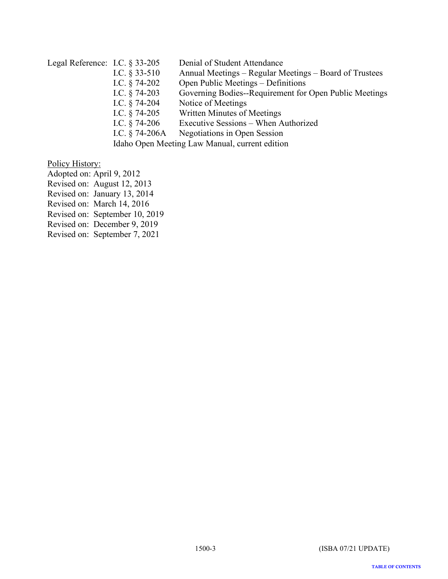# Legal Reference: I.C. § 33-205 Denial of Student Attendance I.C. § 33-510 Annual Meetings – Regular Meetings – Board of Trustees I.C. § 74-202 Open Public Meetings – Definitions<br>I.C. § 74-203 Governing Bodies--Requirement for Governing Bodies--Requirement for Open Public Meetings I.C. § 74-204 Notice of Meetings I.C. § 74-205 Written Minutes of Meetings<br>I.C. § 74-206 Executive Sessions – When A Executive Sessions – When Authorized I.C. § 74-206A Negotiations in Open Session

Idaho Open Meeting Law Manual, current edition

### Policy History:

Adopted on: April 9, 2012

Revised on: August 12, 2013

Revised on: January 13, 2014

Revised on: March 14, 2016

Revised on: September 10, 2019

Revised on: December 9, 2019

Revised on: September 7, 2021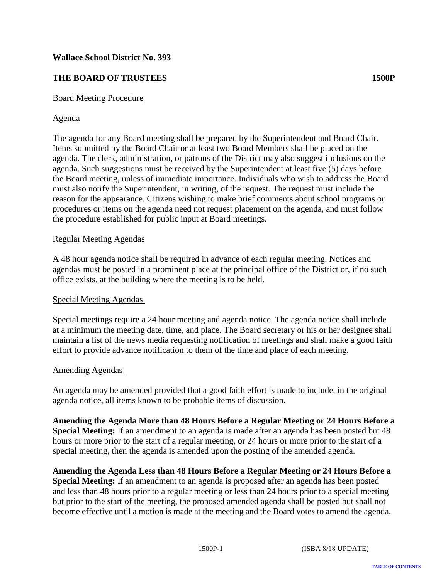# <span id="page-36-0"></span>**THE BOARD OF TRUSTEES 1500P**

# Board Meeting Procedure

# Agenda

The agenda for any Board meeting shall be prepared by the Superintendent and Board Chair. Items submitted by the Board Chair or at least two Board Members shall be placed on the agenda. The clerk, administration, or patrons of the District may also suggest inclusions on the agenda. Such suggestions must be received by the Superintendent at least five (5) days before the Board meeting, unless of immediate importance. Individuals who wish to address the Board must also notify the Superintendent, in writing, of the request. The request must include the reason for the appearance. Citizens wishing to make brief comments about school programs or procedures or items on the agenda need not request placement on the agenda, and must follow the procedure established for public input at Board meetings.

### Regular Meeting Agendas

A 48 hour agenda notice shall be required in advance of each regular meeting. Notices and agendas must be posted in a prominent place at the principal office of the District or, if no such office exists, at the building where the meeting is to be held.

### Special Meeting Agendas

Special meetings require a 24 hour meeting and agenda notice. The agenda notice shall include at a minimum the meeting date, time, and place. The Board secretary or his or her designee shall maintain a list of the news media requesting notification of meetings and shall make a good faith effort to provide advance notification to them of the time and place of each meeting.

### Amending Agendas

An agenda may be amended provided that a good faith effort is made to include, in the original agenda notice, all items known to be probable items of discussion.

**Amending the Agenda More than 48 Hours Before a Regular Meeting or 24 Hours Before a Special Meeting:** If an amendment to an agenda is made after an agenda has been posted but 48 hours or more prior to the start of a regular meeting, or 24 hours or more prior to the start of a special meeting, then the agenda is amended upon the posting of the amended agenda.

**Amending the Agenda Less than 48 Hours Before a Regular Meeting or 24 Hours Before a Special Meeting:** If an amendment to an agenda is proposed after an agenda has been posted and less than 48 hours prior to a regular meeting or less than 24 hours prior to a special meeting but prior to the start of the meeting, the proposed amended agenda shall be posted but shall not become effective until a motion is made at the meeting and the Board votes to amend the agenda.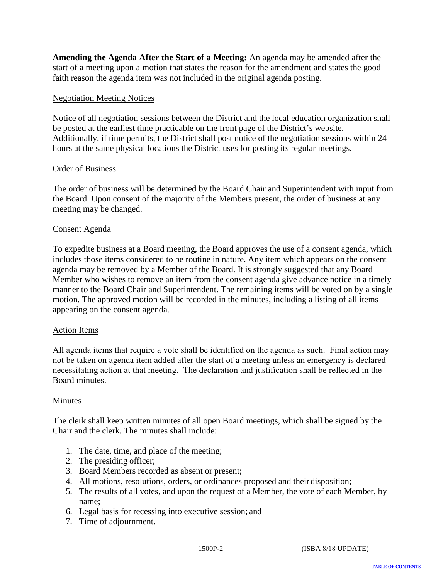**Amending the Agenda After the Start of a Meeting:** An agenda may be amended after the start of a meeting upon a motion that states the reason for the amendment and states the good faith reason the agenda item was not included in the original agenda posting.

# Negotiation Meeting Notices

Notice of all negotiation sessions between the District and the local education organization shall be posted at the earliest time practicable on the front page of the District's website. Additionally, if time permits, the District shall post notice of the negotiation sessions within 24 hours at the same physical locations the District uses for posting its regular meetings.

### Order of Business

The order of business will be determined by the Board Chair and Superintendent with input from the Board. Upon consent of the majority of the Members present, the order of business at any meeting may be changed.

# Consent Agenda

To expedite business at a Board meeting, the Board approves the use of a consent agenda, which includes those items considered to be routine in nature. Any item which appears on the consent agenda may be removed by a Member of the Board. It is strongly suggested that any Board Member who wishes to remove an item from the consent agenda give advance notice in a timely manner to the Board Chair and Superintendent. The remaining items will be voted on by a single motion. The approved motion will be recorded in the minutes, including a listing of all items appearing on the consent agenda.

### Action Items

All agenda items that require a vote shall be identified on the agenda as such. Final action may not be taken on agenda item added after the start of a meeting unless an emergency is declared necessitating action at that meeting. The declaration and justification shall be reflected in the Board minutes.

### Minutes

The clerk shall keep written minutes of all open Board meetings, which shall be signed by the Chair and the clerk. The minutes shall include:

- 1. The date, time, and place of the meeting;
- 2. The presiding officer;
- 3. Board Members recorded as absent or present;
- 4. All motions, resolutions, orders, or ordinances proposed and their disposition;
- 5. The results of all votes, and upon the request of a Member, the vote of each Member, by name;
- 6. Legal basis for recessing into executive session; and
- 7. Time of adjournment.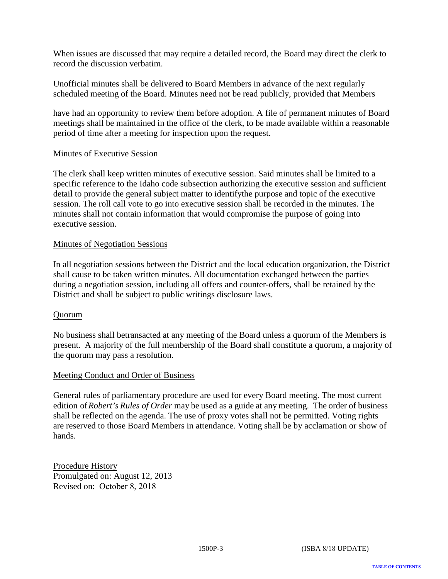When issues are discussed that may require a detailed record, the Board may direct the clerk to record the discussion verbatim.

Unofficial minutes shall be delivered to Board Members in advance of the next regularly scheduled meeting of the Board. Minutes need not be read publicly, provided that Members

have had an opportunity to review them before adoption. A file of permanent minutes of Board meetings shall be maintained in the office of the clerk, to be made available within a reasonable period of time after a meeting for inspection upon the request.

### Minutes of Executive Session

The clerk shall keep written minutes of executive session. Said minutes shall be limited to a specific reference to the Idaho code subsection authorizing the executive session and sufficient detail to provide the general subject matter to identifythe purpose and topic of the executive session. The roll call vote to go into executive session shall be recorded in the minutes. The minutes shall not contain information that would compromise the purpose of going into executive session.

### Minutes of Negotiation Sessions

In all negotiation sessions between the District and the local education organization, the District shall cause to be taken written minutes. All documentation exchanged between the parties during a negotiation session, including all offers and counter-offers, shall be retained by the District and shall be subject to public writings disclosure laws.

### Quorum

No business shall betransacted at any meeting of the Board unless a quorum of the Members is present. A majority of the full membership of the Board shall constitute a quorum, a majority of the quorum may pass a resolution.

### Meeting Conduct and Order of Business

General rules of parliamentary procedure are used for every Board meeting. The most current edition of *Robert's Rules of Order* may be used as a guide at any meeting. The order of business shall be reflected on the agenda. The use of proxy votes shall not be permitted. Voting rights are reserved to those Board Members in attendance. Voting shall be by acclamation or show of hands.

Procedure History Promulgated on: August 12, 2013 Revised on: October 8, 2018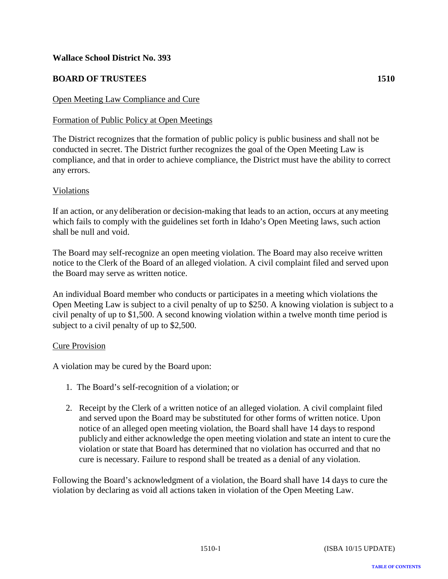# <span id="page-39-0"></span>**BOARD OF TRUSTEES 1510**

# Open Meeting Law Compliance and Cure

# Formation of Public Policy at Open Meetings

The District recognizes that the formation of public policy is public business and shall not be conducted in secret. The District further recognizes the goal of the Open Meeting Law is compliance, and that in order to achieve compliance, the District must have the ability to correct any errors.

### Violations

If an action, or any deliberation or decision-making that leads to an action, occurs at anymeeting which fails to comply with the guidelines set forth in Idaho's Open Meeting laws, such action shall be null and void.

The Board may self-recognize an open meeting violation. The Board may also receive written notice to the Clerk of the Board of an alleged violation. A civil complaint filed and served upon the Board may serve as written notice.

An individual Board member who conducts or participates in a meeting which violations the Open Meeting Law is subject to a civil penalty of up to \$250. A knowing violation is subject to a civil penalty of up to \$1,500. A second knowing violation within a twelve month time period is subject to a civil penalty of up to \$2,500.

### Cure Provision

A violation may be cured by the Board upon:

- 1. The Board's self-recognition of a violation; or
- 2. Receipt by the Clerk of a written notice of an alleged violation. A civil complaint filed and served upon the Board may be substituted for other forms of written notice. Upon notice of an alleged open meeting violation, the Board shall have 14 days to respond publicly and either acknowledge the open meeting violation and state an intent to cure the violation or state that Board has determined that no violation has occurred and that no cure is necessary. Failure to respond shall be treated as a denial of any violation.

Following the Board's acknowledgment of a violation, the Board shall have 14 days to cure the violation by declaring as void all actions taken in violation of the Open Meeting Law.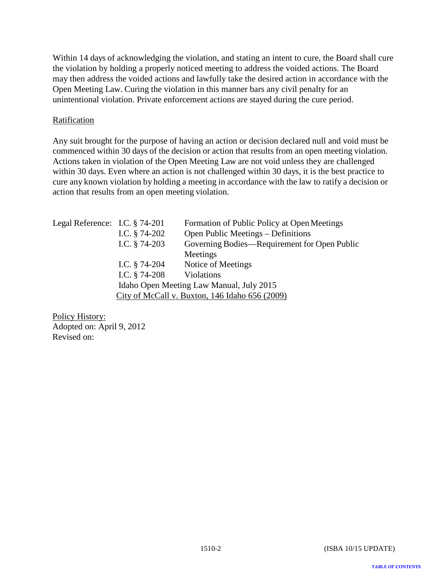Within 14 days of acknowledging the violation, and stating an intent to cure, the Board shall cure the violation by holding a properly noticed meeting to address the voided actions. The Board may then address the voided actions and lawfully take the desired action in accordance with the Open Meeting Law. Curing the violation in this manner bars any civil penalty for an unintentional violation. Private enforcement actions are stayed during the cure period.

# **Ratification**

Any suit brought for the purpose of having an action or decision declared null and void must be commenced within 30 days of the decision or action that results from an open meeting violation. Actions taken in violation of the Open Meeting Law are not void unless they are challenged within 30 days. Even where an action is not challenged within 30 days, it is the best practice to cure any known violation by holding a meeting in accordance with the law to ratify a decision or action that results from an open meeting violation.

| Legal Reference: I.C. § 74-201 | I.C. $§$ 74-202 | Formation of Public Policy at Open Meetings<br>Open Public Meetings – Definitions |
|--------------------------------|-----------------|-----------------------------------------------------------------------------------|
|                                | I.C. $§$ 74-203 | Governing Bodies—Requirement for Open Public                                      |
|                                |                 | Meetings                                                                          |
|                                | I.C. $§$ 74-204 | Notice of Meetings                                                                |
|                                | I.C. $§$ 74-208 | Violations                                                                        |
|                                |                 | Idaho Open Meeting Law Manual, July 2015                                          |
|                                |                 | City of McCall v. Buxton, 146 Idaho 656 (2009)                                    |

Policy History: Adopted on: April 9, 2012 Revised on:

**TABLE OF CONTENTS**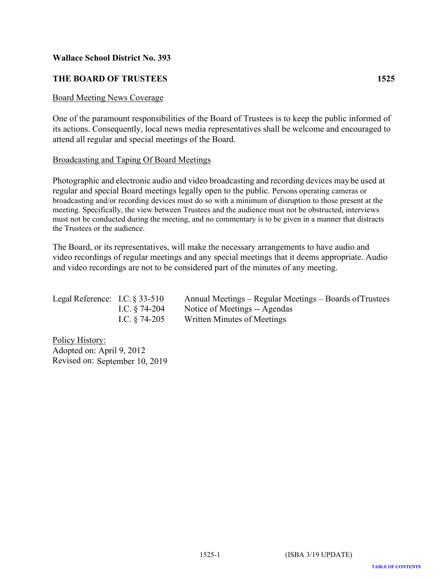# <span id="page-41-0"></span>**THE BOARD OF TRUSTEES 1525**

### Board Meeting News Coverage

One of the paramount responsibilities of the Board of Trustees is to keep the public informed of its actions. Consequently, local news media representatives shall be welcome and encouraged to attend all regular and special meetings of the Board.

### Broadcasting and Taping Of Board Meetings

Photographic and electronic audio and video broadcasting and recording devices may be used at regular and special Board meetings legally open to the public. Persons operating cameras or broadcasting and/or recording devices must do so with a minimum of disruption to those present at the meeting. Specifically, the view between Trustees and the audience must not be obstructed, interviews must not be conducted during the meeting, and no commentary is to be given in a manner that distracts the Trustees or the audience.

The Board, or its representatives, will make the necessary arrangements to have audio and video recordings of regular meetings and any special meetings that it deems appropriate. Audio and video recordings are not to be considered part of the minutes of any meeting.

| Legal Reference: I.C. $\S 33-510$ |                  | Annual Meetings – Regular Meetings – Boards of Trustees |
|-----------------------------------|------------------|---------------------------------------------------------|
|                                   | I.C. $§$ 74-204  | Notice of Meetings -- Agendas                           |
|                                   | I.C. $\S$ 74-205 | Written Minutes of Meetings                             |

Policy History: Adopted on: April 9, 2012 Revised on: September 10, 2019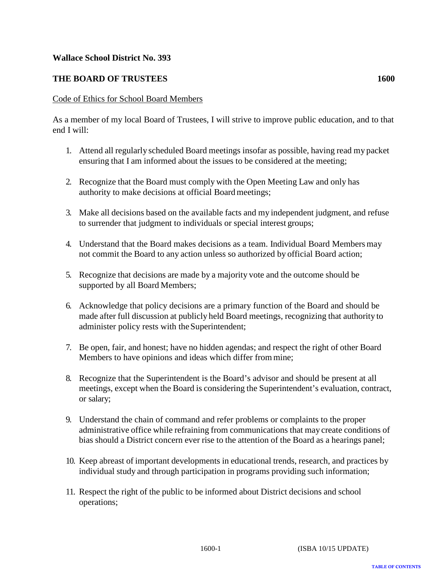# <span id="page-42-0"></span>**THE BOARD OF TRUSTEES 1600**

# Code of Ethics for School Board Members

As a member of my local Board of Trustees, I will strive to improve public education, and to that end I will:

- 1. Attend all regularly scheduled Board meetings insofar as possible, having read my packet ensuring that I am informed about the issues to be considered at the meeting;
- 2. Recognize that the Board must comply with the Open Meeting Law and only has authority to make decisions at official Board meetings;
- 3. Make all decisions based on the available facts and my independent judgment, and refuse to surrender that judgment to individuals or special interest groups;
- 4. Understand that the Board makes decisions as a team. Individual Board Members may not commit the Board to any action unless so authorized by official Board action;
- 5. Recognize that decisions are made by a majority vote and the outcome should be supported by all Board Members;
- 6. Acknowledge that policy decisions are a primary function of the Board and should be made after full discussion at publicly held Board meetings, recognizing that authority to administer policy rests with the Superintendent;
- 7. Be open, fair, and honest; have no hidden agendas; and respect the right of other Board Members to have opinions and ideas which differ from mine;
- 8. Recognize that the Superintendent is the Board's advisor and should be present at all meetings, except when the Board is considering the Superintendent's evaluation, contract, or salary;
- 9. Understand the chain of command and refer problems or complaints to the proper administrative office while refraining from communications that may create conditions of bias should a District concern ever rise to the attention of the Board as a hearings panel;
- 10. Keep abreast of important developments in educational trends, research, and practices by individual study and through participation in programs providing such information;
- 11. Respect the right of the public to be informed about District decisions and school operations;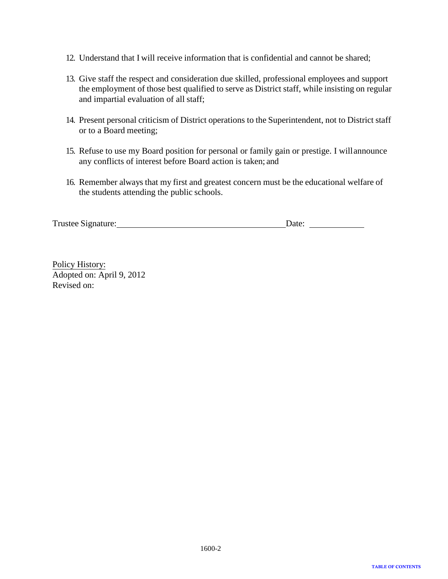- 12. Understand that I will receive information that is confidential and cannot be shared;
- 13. Give staff the respect and consideration due skilled, professional employees and support the employment of those best qualified to serve as District staff, while insisting on regular and impartial evaluation of all staff;
- 14. Present personal criticism of District operations to the Superintendent, not to District staff or to a Board meeting;
- 15. Refuse to use my Board position for personal or family gain or prestige. I will announce any conflicts of interest before Board action is taken; and
- 16. Remember always that my first and greatest concern must be the educational welfare of the students attending the public schools.

| Trustee Signature: | Date: |
|--------------------|-------|
|--------------------|-------|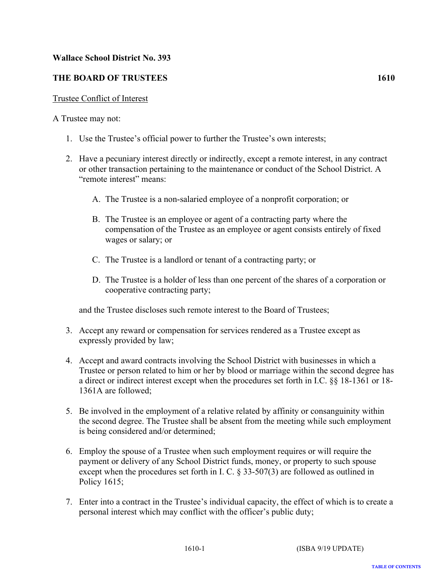# <span id="page-44-0"></span>**THE BOARD OF TRUSTEES 1610**

# Trustee Conflict of Interest

# A Trustee may not:

- 1. Use the Trustee's official power to further the Trustee's own interests;
- 2. Have a pecuniary interest directly or indirectly, except a remote interest, in any contract or other transaction pertaining to the maintenance or conduct of the School District. A "remote interest" means:
	- A. The Trustee is a non-salaried employee of a nonprofit corporation; or
	- B. The Trustee is an employee or agent of a contracting party where the compensation of the Trustee as an employee or agent consists entirely of fixed wages or salary; or
	- C. The Trustee is a landlord or tenant of a contracting party; or
	- D. The Trustee is a holder of less than one percent of the shares of a corporation or cooperative contracting party;

and the Trustee discloses such remote interest to the Board of Trustees;

- 3. Accept any reward or compensation for services rendered as a Trustee except as expressly provided by law;
- 4. Accept and award contracts involving the School District with businesses in which a Trustee or person related to him or her by blood or marriage within the second degree has a direct or indirect interest except when the procedures set forth in I.C. §§ 18-1361 or 18- 1361A are followed;
- 5. Be involved in the employment of a relative related by affinity or consanguinity within the second degree. The Trustee shall be absent from the meeting while such employment is being considered and/or determined;
- 6. Employ the spouse of a Trustee when such employment requires or will require the payment or delivery of any School District funds, money, or property to such spouse except when the procedures set forth in I. C. § 33-507(3) are followed as outlined in Policy 1615;
- 7. Enter into a contract in the Trustee's individual capacity, the effect of which is to create a personal interest which may conflict with the officer's public duty;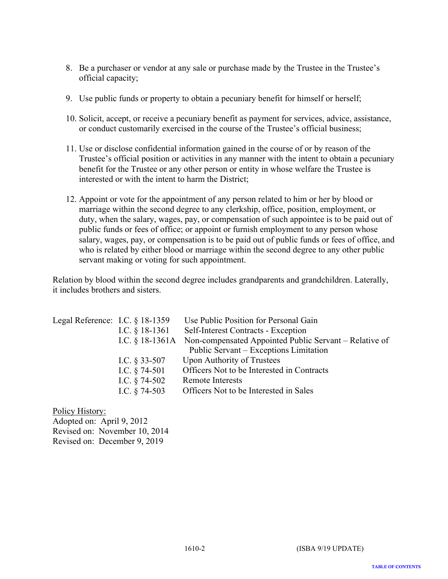- 8. Be a purchaser or vendor at any sale or purchase made by the Trustee in the Trustee's official capacity;
- 9. Use public funds or property to obtain a pecuniary benefit for himself or herself;
- 10. Solicit, accept, or receive a pecuniary benefit as payment for services, advice, assistance, or conduct customarily exercised in the course of the Trustee's official business;
- 11. Use or disclose confidential information gained in the course of or by reason of the Trustee's official position or activities in any manner with the intent to obtain a pecuniary benefit for the Trustee or any other person or entity in whose welfare the Trustee is interested or with the intent to harm the District;
- 12. Appoint or vote for the appointment of any person related to him or her by blood or marriage within the second degree to any clerkship, office, position, employment, or duty, when the salary, wages, pay, or compensation of such appointee is to be paid out of public funds or fees of office; or appoint or furnish employment to any person whose salary, wages, pay, or compensation is to be paid out of public funds or fees of office, and who is related by either blood or marriage within the second degree to any other public servant making or voting for such appointment.

Relation by blood within the second degree includes grandparents and grandchildren. Laterally, it includes brothers and sisters.

| Legal Reference: I.C. $\S$ 18-1359 |                   | Use Public Position for Personal Gain                  |
|------------------------------------|-------------------|--------------------------------------------------------|
|                                    | I.C. $§$ 18-1361  | Self-Interest Contracts - Exception                    |
|                                    | I.C. $§$ 18-1361A | Non-compensated Appointed Public Servant – Relative of |
|                                    |                   | Public Servant – Exceptions Limitation                 |
|                                    | I.C. $§$ 33-507   | <b>Upon Authority of Trustees</b>                      |
|                                    | I.C. $§$ 74-501   | Officers Not to be Interested in Contracts             |
|                                    | I.C. $§$ 74-502   | <b>Remote Interests</b>                                |
|                                    | I.C. $§$ 74-503   | Officers Not to be Interested in Sales                 |

Policy History: Adopted on: April 9, 2012 Revised on: November 10, 2014 Revised on: December 9, 2019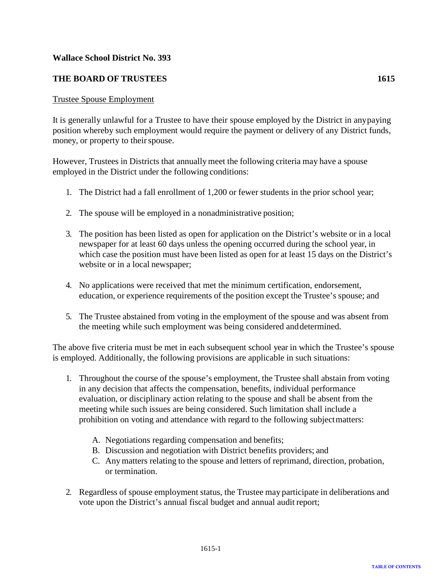# <span id="page-46-0"></span>**THE BOARD OF TRUSTEES 1615**

### Trustee Spouse Employment

It is generally unlawful for a Trustee to have their spouse employed by the District in any paying position whereby such employment would require the payment or delivery of any District funds, money, or property to their spouse.

However, Trustees in Districts that annually meet the following criteria may have a spouse employed in the District under the following conditions:

- 1. The District had a fall enrollment of 1,200 or fewer students in the prior school year;
- 2. The spouse will be employed in a nonadministrative position;
- 3. The position has been listed as open for application on the District's website or in a local newspaper for at least 60 days unless the opening occurred during the school year, in which case the position must have been listed as open for at least 15 days on the District's website or in a local newspaper;
- 4. No applications were received that met the minimum certification, endorsement, education, or experience requirements of the position except the Trustee's spouse; and
- 5. The Trustee abstained from voting in the employment of the spouse and was absent from the meeting while such employment was being considered and determined.

The above five criteria must be met in each subsequent school year in which the Trustee's spouse is employed. Additionally, the following provisions are applicable in such situations:

- 1. Throughout the course of the spouse's employment, the Trustee shall abstain from voting in any decision that affects the compensation, benefits, individual performance evaluation, or disciplinary action relating to the spouse and shall be absent from the meeting while such issues are being considered. Such limitation shall include a prohibition on voting and attendance with regard to the following subject matters:
	- A. Negotiations regarding compensation and benefits;
	- B. Discussion and negotiation with District benefits providers; and
	- C. Anymatters relating to the spouse and letters of reprimand, direction, probation, or termination.
- 2. Regardless of spouse employment status, the Trustee may participate in deliberations and vote upon the District's annual fiscal budget and annual audit report;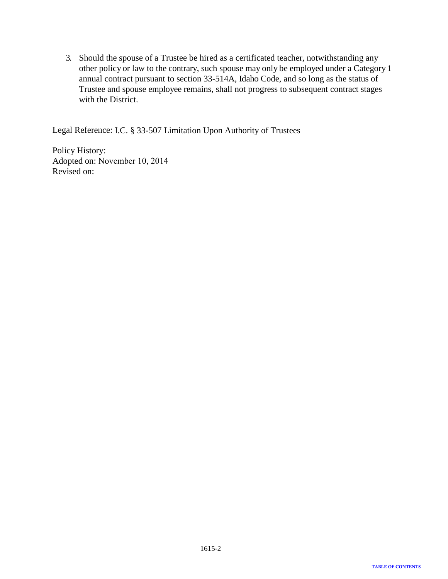3. Should the spouse of a Trustee be hired as a certificated teacher, notwithstanding any other policy or law to the contrary, such spouse may only be employed under a Category 1 annual contract pursuant to section 33-514A, Idaho Code, and so long as the status of Trustee and spouse employee remains, shall not progress to subsequent contract stages with the District.

Legal Reference: I.C. § 33-507 Limitation Upon Authority of Trustees

Policy History: Adopted on: November 10, 2014 Revised on: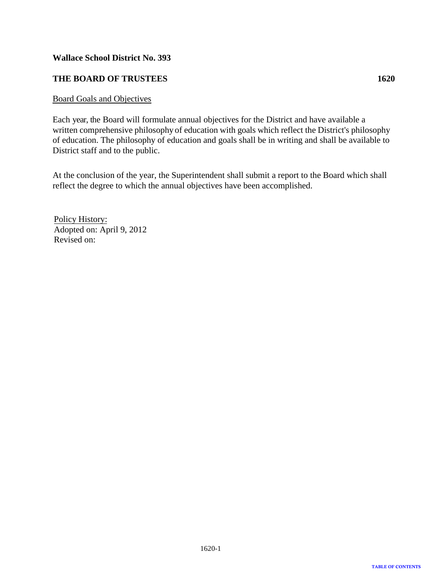# <span id="page-48-0"></span>**THE BOARD OF TRUSTEES 1620**

### Board Goals and Objectives

Each year, the Board will formulate annual objectives for the District and have available a written comprehensive philosophy of education with goals which reflect the District's philosophy of education. The philosophy of education and goals shall be in writing and shall be available to District staff and to the public.

At the conclusion of the year, the Superintendent shall submit a report to the Board which shall reflect the degree to which the annual objectives have been accomplished.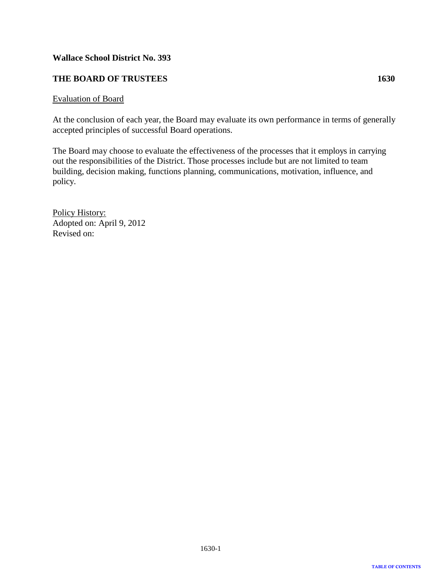# <span id="page-49-0"></span>**THE BOARD OF TRUSTEES 1630**

### Evaluation of Board

At the conclusion of each year, the Board may evaluate its own performance in terms of generally accepted principles of successful Board operations.

The Board may choose to evaluate the effectiveness of the processes that it employs in carrying out the responsibilities of the District. Those processes include but are not limited to team building, decision making, functions planning, communications, motivation, influence, and policy.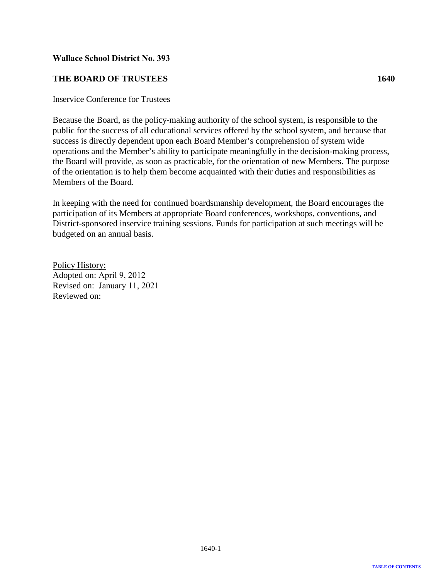# <span id="page-50-0"></span>**THE BOARD OF TRUSTEES**

### Inservice Conference for Trustees

Because the Board, as the policy-making authority of the school system, is responsible to the public for the success of all educational services offered by the school system, and because that success is directly dependent upon each Board Member's comprehension of system wide operations and the Member's ability to participate meaningfully in the decision-making process, the Board will provide, as soon as practicable, for the orientation of new Members. The purpose of the orientation is to help them become acquainted with their duties and responsibilities as Members of the Board.

In keeping with the need for continued boardsmanship development, the Board encourages the participation of its Members at appropriate Board conferences, workshops, conventions, and District-sponsored inservice training sessions. Funds for participation at such meetings will be budgeted on an annual basis.

Policy History: Adopted on: April 9, 2012 Revised on: January 11, 2021 Reviewed on: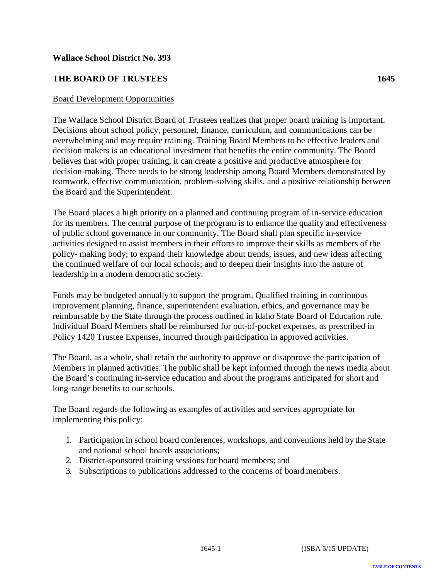# <span id="page-51-0"></span>**THE BOARD OF TRUSTEES 1645**

### Board Development Opportunities

The Wallace School District Board of Trustees realizes that proper board training is important. Decisions about school policy, personnel, finance, curriculum, and communications can be overwhelming and may require training. Training Board Members to be effective leaders and decision makers is an educational investment that benefits the entire community. The Board believes that with proper training, it can create a positive and productive atmosphere for decision-making. There needs to be strong leadership among Board Members demonstrated by teamwork, effective communication, problem-solving skills, and a positive relationship between the Board and the Superintendent.

The Board places a high priority on a planned and continuing program of in-service education for its members. The central purpose of the program is to enhance the quality and effectiveness of public school governance in our community. The Board shall plan specific in-service activities designed to assist members in their efforts to improve their skills as members of the policy- making body; to expand their knowledge about trends, issues, and new ideas affecting the continued welfare of our local schools; and to deepen their insights into the nature of leadership in a modern democratic society.

Funds may be budgeted annually to support the program. Qualified training in continuous improvement planning, finance, superintendent evaluation, ethics, and governance may be reimbursable by the State through the process outlined in Idaho State Board of Education rule. Individual Board Members shall be reimbursed for out-of-pocket expenses, as prescribed in Policy 1420 Trustee Expenses, incurred through participation in approved activities.

The Board, as a whole, shall retain the authority to approve or disapprove the participation of Members in planned activities. The public shall be kept informed through the news media about the Board's continuing in-service education and about the programs anticipated for short and long-range benefits to our schools.

The Board regards the following as examples of activities and services appropriate for implementing this policy:

- 1. Participation in school board conferences, workshops, and conventions held by the State and national school boards associations;
- 2. District-sponsored training sessions for board members; and
- 3. Subscriptions to publications addressed to the concerns of board members.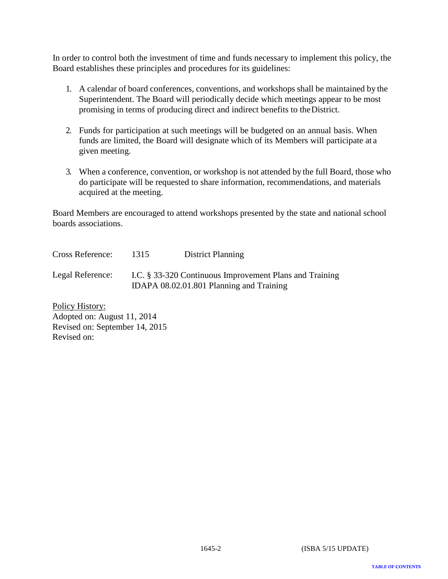In order to control both the investment of time and funds necessary to implement this policy, the Board establishes these principles and procedures for its guidelines:

- 1. A calendar of board conferences, conventions, and workshops shall be maintained by the Superintendent. The Board will periodically decide which meetings appear to be most promising in terms of producing direct and indirect benefits to the District.
- 2. Funds for participation at such meetings will be budgeted on an annual basis. When funds are limited, the Board will designate which of its Members will participate at a given meeting.
- 3. When a conference, convention, or workshop is not attended by the full Board, those who do participate will be requested to share information, recommendations, and materials acquired at the meeting.

Board Members are encouraged to attend workshops presented by the state and national school boards associations.

Cross Reference: Legal Reference: 1315 District Planning I.C. § 33-320 Continuous Improvement Plans and Training IDAPA 08.02.01.801 Planning and Training

Policy History: Adopted on: August 11, 2014 Revised on: September 14, 2015 Revised on: